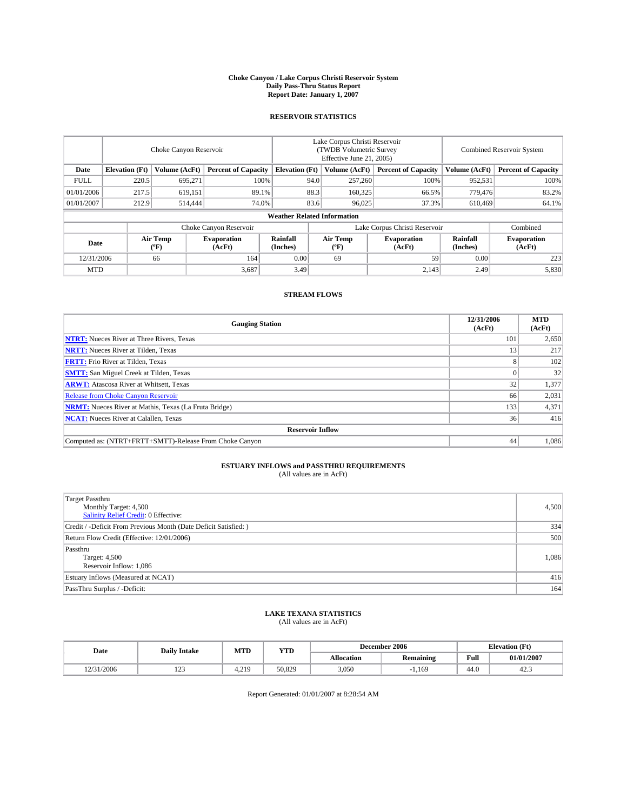#### **Choke Canyon / Lake Corpus Christi Reservoir System Daily Pass-Thru Status Report Report Date: January 1, 2007**

## **RESERVOIR STATISTICS**

|             | Choke Canyon Reservoir             |                  |                              |                       | Lake Corpus Christi Reservoir<br>(TWDB Volumetric Survey<br>Effective June 21, 2005) |                  |                               |                      | Combined Reservoir System    |  |  |
|-------------|------------------------------------|------------------|------------------------------|-----------------------|--------------------------------------------------------------------------------------|------------------|-------------------------------|----------------------|------------------------------|--|--|
| Date        | <b>Elevation</b> (Ft)              | Volume (AcFt)    | <b>Percent of Capacity</b>   | <b>Elevation</b> (Ft) |                                                                                      | Volume (AcFt)    | <b>Percent of Capacity</b>    | Volume (AcFt)        | <b>Percent of Capacity</b>   |  |  |
| <b>FULL</b> | 220.5                              | 695.271          | 100%                         |                       | 94.0                                                                                 | 257,260          | 100%                          | 952,531              | 100%                         |  |  |
| 01/01/2006  | 217.5                              | 619,151          | 89.1%                        |                       | 88.3                                                                                 | 160,325          | 66.5%                         | 779,476              | 83.2%                        |  |  |
| 01/01/2007  | 212.9                              | 514,444          | 74.0%                        |                       | 83.6                                                                                 | 96,025           | 37.3%                         | 610,469              | 64.1%                        |  |  |
|             | <b>Weather Related Information</b> |                  |                              |                       |                                                                                      |                  |                               |                      |                              |  |  |
|             |                                    |                  | Choke Canyon Reservoir       |                       |                                                                                      |                  | Lake Corpus Christi Reservoir |                      | Combined                     |  |  |
| Date        |                                    | Air Temp<br>(°F) | <b>Evaporation</b><br>(AcFt) | Rainfall<br>(Inches)  |                                                                                      | Air Temp<br>("F) | <b>Evaporation</b><br>(AcFt)  | Rainfall<br>(Inches) | <b>Evaporation</b><br>(AcFt) |  |  |
| 12/31/2006  |                                    | 66               | 164                          | 0.00                  |                                                                                      | 69               | 59                            | 0.00                 | 223                          |  |  |
| <b>MTD</b>  |                                    |                  | 3,687                        | 3.49                  |                                                                                      |                  | 2,143                         | 2.49                 | 5,830                        |  |  |

## **STREAM FLOWS**

| <b>Gauging Station</b>                                       | 12/31/2006<br>(AcFt) | <b>MTD</b><br>(AcFt) |
|--------------------------------------------------------------|----------------------|----------------------|
| <b>NTRT:</b> Nueces River at Three Rivers, Texas             | 101                  | 2,650                |
| <b>NRTT:</b> Nueces River at Tilden, Texas                   | 13                   | 217                  |
| <b>FRTT:</b> Frio River at Tilden, Texas                     |                      | 102                  |
| <b>SMTT:</b> San Miguel Creek at Tilden, Texas               |                      | 32                   |
| <b>ARWT:</b> Atascosa River at Whitsett, Texas               | 32                   | 1,377                |
| <b>Release from Choke Canyon Reservoir</b>                   | 66                   | 2,031                |
| <b>NRMT:</b> Nueces River at Mathis, Texas (La Fruta Bridge) | 133                  | 4,371                |
| <b>NCAT:</b> Nueces River at Calallen, Texas                 | 36                   | 416                  |
| <b>Reservoir Inflow</b>                                      |                      |                      |
| Computed as: (NTRT+FRTT+SMTT)-Release From Choke Canyon      | 44                   | 1,086                |

## **ESTUARY INFLOWS and PASSTHRU REQUIREMENTS**<br>(All values are in AcFt)

| <b>Target Passthru</b><br>Monthly Target: 4,500<br><b>Salinity Relief Credit: 0 Effective:</b> | 4,500 |
|------------------------------------------------------------------------------------------------|-------|
| Credit / -Deficit From Previous Month (Date Deficit Satisfied: )                               | 334   |
| Return Flow Credit (Effective: 12/01/2006)                                                     | 500   |
| Passthru<br>Target: 4,500<br>Reservoir Inflow: 1,086                                           | 1,086 |
| Estuary Inflows (Measured at NCAT)                                                             | 416   |
| PassThru Surplus / -Deficit:                                                                   | 164   |

# **LAKE TEXANA STATISTICS** (All values are in AcFt)

|  | Date       | <b>Daily Intake</b> | MTT<br>IVI I L | <b>YTD</b> |                   | December 2006    | <b>Elevation (Ft)</b> |            |
|--|------------|---------------------|----------------|------------|-------------------|------------------|-----------------------|------------|
|  |            |                     |                |            | <b>Allocation</b> | <b>Remaining</b> | Full                  | 01/01/2007 |
|  | 12/31/2006 | $\sim$<br>رے ہ      | 210<br>1.ZI    | 50.829     | 3,050             | 1,169            | 44.0                  | 42.9       |

Report Generated: 01/01/2007 at 8:28:54 AM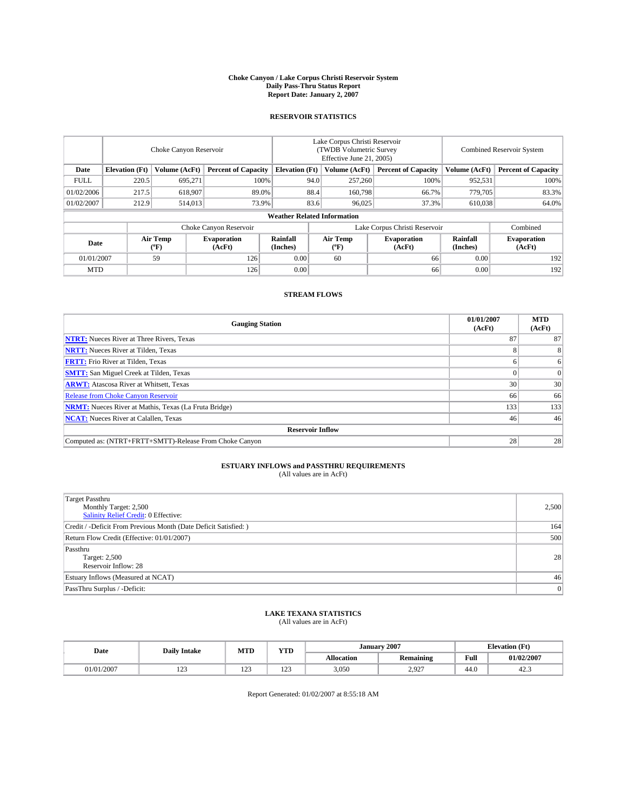#### **Choke Canyon / Lake Corpus Christi Reservoir System Daily Pass-Thru Status Report Report Date: January 2, 2007**

## **RESERVOIR STATISTICS**

|             | Choke Canyon Reservoir             |                         |                              |                       | Lake Corpus Christi Reservoir<br>(TWDB Volumetric Survey<br>Effective June 21, 2005) |                  |                               | Combined Reservoir System |                              |  |
|-------------|------------------------------------|-------------------------|------------------------------|-----------------------|--------------------------------------------------------------------------------------|------------------|-------------------------------|---------------------------|------------------------------|--|
| Date        | <b>Elevation</b> (Ft)              | Volume (AcFt)           | <b>Percent of Capacity</b>   | <b>Elevation</b> (Ft) |                                                                                      | Volume (AcFt)    | <b>Percent of Capacity</b>    | Volume (AcFt)             | <b>Percent of Capacity</b>   |  |
| <b>FULL</b> | 220.5                              | 695.271                 | 100%                         |                       | 94.0                                                                                 | 257,260          | 100%                          | 952,531                   | 100%                         |  |
| 01/02/2006  | 217.5                              | 618,907                 | 89.0%                        |                       | 88.4                                                                                 | 160,798          | 66.7%                         | 779,705                   | 83.3%                        |  |
| 01/02/2007  | 212.9                              | 514,013                 | 73.9%                        |                       | 83.6                                                                                 | 96,025           | 37.3%                         | 610,038                   | 64.0%                        |  |
|             | <b>Weather Related Information</b> |                         |                              |                       |                                                                                      |                  |                               |                           |                              |  |
|             |                                    |                         | Choke Canyon Reservoir       |                       |                                                                                      |                  | Lake Corpus Christi Reservoir |                           | Combined                     |  |
| Date        |                                    | <b>Air Temp</b><br>(°F) | <b>Evaporation</b><br>(AcFt) | Rainfall<br>(Inches)  |                                                                                      | Air Temp<br>("F) | <b>Evaporation</b><br>(AcFt)  | Rainfall<br>(Inches)      | <b>Evaporation</b><br>(AcFt) |  |
| 01/01/2007  |                                    | 59                      | 126                          | 0.00                  |                                                                                      | 60               | 66                            | 0.00                      | 192                          |  |
| <b>MTD</b>  |                                    |                         | 126                          | 0.00                  |                                                                                      |                  | 66                            | 0.00                      | 192                          |  |

## **STREAM FLOWS**

| <b>Gauging Station</b>                                       | 01/01/2007<br>(AcFt) | <b>MTD</b><br>(AcFt) |
|--------------------------------------------------------------|----------------------|----------------------|
| <b>NTRT:</b> Nueces River at Three Rivers, Texas             | 87                   | 87                   |
| <b>NRTT:</b> Nueces River at Tilden, Texas                   |                      | 8                    |
| <b>FRTT:</b> Frio River at Tilden, Texas                     |                      | 6                    |
| <b>SMTT:</b> San Miguel Creek at Tilden, Texas               |                      | $\Omega$             |
| <b>ARWT:</b> Atascosa River at Whitsett, Texas               | 30 <sup>1</sup>      | 30                   |
| <b>Release from Choke Canyon Reservoir</b>                   | 66                   | 66                   |
| <b>NRMT:</b> Nueces River at Mathis, Texas (La Fruta Bridge) | 133                  | 133                  |
| <b>NCAT:</b> Nueces River at Calallen, Texas                 | 46                   | 46                   |
| <b>Reservoir Inflow</b>                                      |                      |                      |
| Computed as: (NTRT+FRTT+SMTT)-Release From Choke Canyon      | 28                   | 28                   |

## **ESTUARY INFLOWS and PASSTHRU REQUIREMENTS**<br>(All values are in AcFt)

| <b>Target Passthru</b><br>Monthly Target: 2,500<br><b>Salinity Relief Credit: 0 Effective:</b> | 2,500 |
|------------------------------------------------------------------------------------------------|-------|
| Credit / -Deficit From Previous Month (Date Deficit Satisfied: )                               | 164   |
| Return Flow Credit (Effective: 01/01/2007)                                                     | 500   |
| Passthru<br>Target: 2,500<br>Reservoir Inflow: 28                                              | 28    |
| Estuary Inflows (Measured at NCAT)                                                             | 46    |
| PassThru Surplus / -Deficit:                                                                   | 0     |

# **LAKE TEXANA STATISTICS** (All values are in AcFt)

| Date  | MTD<br><b>YTD</b><br><b>Daily Intake</b> |            |            | January 2007      |                  |      | <b>Elevation</b> (Ft) |  |  |
|-------|------------------------------------------|------------|------------|-------------------|------------------|------|-----------------------|--|--|
|       |                                          |            |            | <b>Allocation</b> | <b>Remaining</b> | Full | 01/02/2007            |  |  |
| /2007 | $\sim$<br>رے 1                           | 100<br>1/2 | 102<br>143 | 3,050             | 2,927            | 44.0 | 42.5                  |  |  |

Report Generated: 01/02/2007 at 8:55:18 AM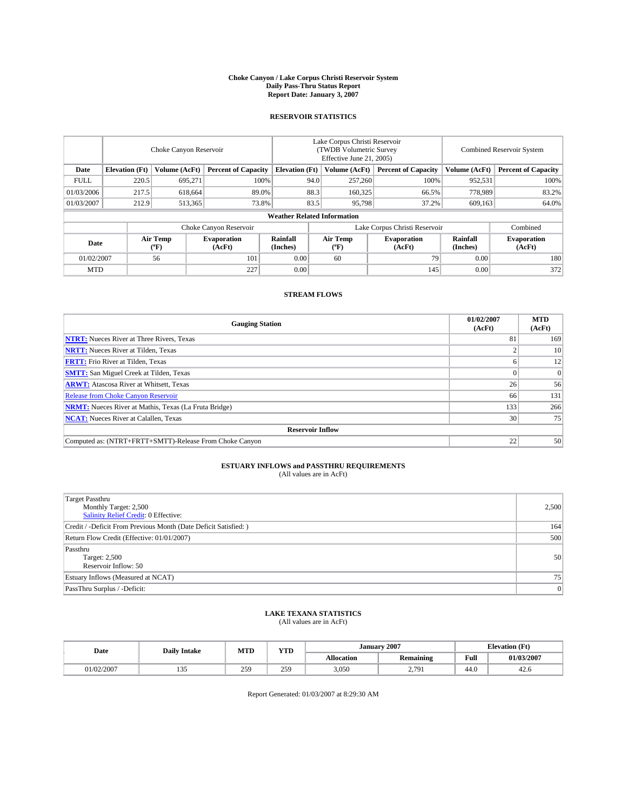#### **Choke Canyon / Lake Corpus Christi Reservoir System Daily Pass-Thru Status Report Report Date: January 3, 2007**

## **RESERVOIR STATISTICS**

|             | Choke Canyon Reservoir             |                  |                              |                       | Lake Corpus Christi Reservoir<br>(TWDB Volumetric Survey<br>Effective June 21, 2005) |                  |                               | <b>Combined Reservoir System</b> |                              |  |
|-------------|------------------------------------|------------------|------------------------------|-----------------------|--------------------------------------------------------------------------------------|------------------|-------------------------------|----------------------------------|------------------------------|--|
| Date        | <b>Elevation</b> (Ft)              | Volume (AcFt)    | <b>Percent of Capacity</b>   | <b>Elevation</b> (Ft) |                                                                                      | Volume (AcFt)    | <b>Percent of Capacity</b>    | Volume (AcFt)                    | <b>Percent of Capacity</b>   |  |
| <b>FULL</b> | 220.5                              | 695.271          | 100%                         |                       | 94.0                                                                                 | 257,260          | 100%                          | 952,531                          | 100%                         |  |
| 01/03/2006  | 217.5                              | 618,664          | 89.0%                        |                       | 88.3                                                                                 | 160,325          | 66.5%                         | 778,989                          | 83.2%                        |  |
| 01/03/2007  | 212.9                              | 513,365          | 73.8%                        |                       | 83.5                                                                                 | 95,798           | 37.2%                         | 609,163                          | 64.0%                        |  |
|             | <b>Weather Related Information</b> |                  |                              |                       |                                                                                      |                  |                               |                                  |                              |  |
|             |                                    |                  | Choke Canyon Reservoir       |                       |                                                                                      |                  | Lake Corpus Christi Reservoir |                                  | Combined                     |  |
| Date        |                                    | Air Temp<br>(°F) | <b>Evaporation</b><br>(AcFt) | Rainfall<br>(Inches)  |                                                                                      | Air Temp<br>("F) | <b>Evaporation</b><br>(AcFt)  | Rainfall<br>(Inches)             | <b>Evaporation</b><br>(AcFt) |  |
| 01/02/2007  |                                    | 56               | 101                          | 0.00                  |                                                                                      | 60               | 79                            | 0.00                             | 180                          |  |
| <b>MTD</b>  |                                    |                  | 227                          | 0.00                  |                                                                                      |                  | 145                           | 0.00                             | 372                          |  |

## **STREAM FLOWS**

| <b>Gauging Station</b>                                       | 01/02/2007<br>(AcFt) | <b>MTD</b><br>(AcFt) |
|--------------------------------------------------------------|----------------------|----------------------|
| <b>NTRT:</b> Nueces River at Three Rivers, Texas             | 81                   | 169                  |
| <b>NRTT:</b> Nueces River at Tilden, Texas                   |                      | 10                   |
| <b>FRTT:</b> Frio River at Tilden, Texas                     |                      | 12                   |
| <b>SMTT:</b> San Miguel Creek at Tilden, Texas               |                      | $\overline{0}$       |
| <b>ARWT:</b> Atascosa River at Whitsett, Texas               | 26                   | 56                   |
| <b>Release from Choke Canyon Reservoir</b>                   | 66                   | 131                  |
| <b>NRMT:</b> Nueces River at Mathis, Texas (La Fruta Bridge) | 133                  | 266                  |
| <b>NCAT:</b> Nueces River at Calallen, Texas                 | 30                   | 75                   |
| <b>Reservoir Inflow</b>                                      |                      |                      |
| Computed as: (NTRT+FRTT+SMTT)-Release From Choke Canyon      | 22                   | 50                   |

## **ESTUARY INFLOWS and PASSTHRU REQUIREMENTS**<br>(All values are in AcFt)

| <b>Target Passthru</b><br>Monthly Target: 2,500<br>Salinity Relief Credit: 0 Effective: | 2,500 |
|-----------------------------------------------------------------------------------------|-------|
| Credit / -Deficit From Previous Month (Date Deficit Satisfied: )                        | 164   |
| Return Flow Credit (Effective: 01/01/2007)                                              | 500   |
| Passthru<br>Target: 2,500<br>Reservoir Inflow: 50                                       | 50    |
| Estuary Inflows (Measured at NCAT)                                                      | 75    |
| PassThru Surplus / -Deficit:                                                            | 0     |

# **LAKE TEXANA STATISTICS** (All values are in AcFt)

| Date       | <b>Daily Intake</b>    | <b>MTD</b> | <b>YTD</b> |                   | January 2007  |      | <b>Elevation</b> (Ft) |
|------------|------------------------|------------|------------|-------------------|---------------|------|-----------------------|
|            |                        |            |            | <b>Allocation</b> | Remaining     | Full | 01/03/2007            |
| J1/02/2007 | $\Omega$<br><b>100</b> | 259<br>رے  | 259        | 3,050             | 2701<br>$-11$ | 44.0 | 42.G                  |

Report Generated: 01/03/2007 at 8:29:30 AM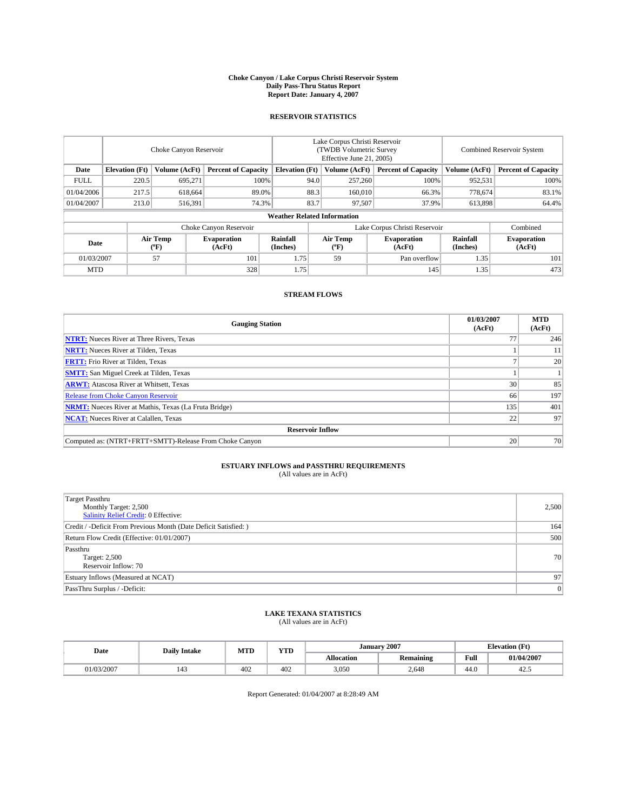#### **Choke Canyon / Lake Corpus Christi Reservoir System Daily Pass-Thru Status Report Report Date: January 4, 2007**

## **RESERVOIR STATISTICS**

|             | Choke Canyon Reservoir             |                  |                              |                       | Lake Corpus Christi Reservoir<br>(TWDB Volumetric Survey<br>Effective June 21, 2005) |                  |                              | Combined Reservoir System |                              |  |
|-------------|------------------------------------|------------------|------------------------------|-----------------------|--------------------------------------------------------------------------------------|------------------|------------------------------|---------------------------|------------------------------|--|
| Date        | <b>Elevation</b> (Ft)              | Volume (AcFt)    | <b>Percent of Capacity</b>   | <b>Elevation</b> (Ft) |                                                                                      | Volume (AcFt)    | <b>Percent of Capacity</b>   | Volume (AcFt)             | <b>Percent of Capacity</b>   |  |
| <b>FULL</b> | 220.5                              | 695,271          | 100%                         |                       | 94.0                                                                                 | 257,260          | 100%                         | 952,531                   | 100%                         |  |
| 01/04/2006  | 217.5                              | 618.664          |                              | 88.3<br>89.0%         |                                                                                      | 160,010          | 66.3%                        | 778,674                   | 83.1%                        |  |
| 01/04/2007  | 213.0                              | 516,391          | 74.3%                        |                       | 83.7                                                                                 | 97.507           | 37.9%                        | 613,898                   | 64.4%                        |  |
|             | <b>Weather Related Information</b> |                  |                              |                       |                                                                                      |                  |                              |                           |                              |  |
|             |                                    |                  | Choke Canyon Reservoir       |                       | Lake Corpus Christi Reservoir                                                        |                  |                              |                           | Combined                     |  |
| Date        |                                    | Air Temp<br>("F) | <b>Evaporation</b><br>(AcFt) | Rainfall<br>(Inches)  |                                                                                      | Air Temp<br>("F) | <b>Evaporation</b><br>(AcFt) | Rainfall<br>(Inches)      | <b>Evaporation</b><br>(AcFt) |  |
| 01/03/2007  |                                    | 57               | 101                          | 1.75                  |                                                                                      | 59               | Pan overflow                 | 1.35                      | 101                          |  |
| <b>MTD</b>  |                                    |                  | 328                          | 1.75                  |                                                                                      |                  | 145                          | 1.35                      | 473                          |  |

## **STREAM FLOWS**

| <b>Gauging Station</b>                                       | 01/03/2007<br>(AcFt) | <b>MTD</b><br>(AcFt) |
|--------------------------------------------------------------|----------------------|----------------------|
| <b>NTRT:</b> Nueces River at Three Rivers, Texas             |                      | 246                  |
| <b>NRTT:</b> Nueces River at Tilden, Texas                   |                      | 11                   |
| <b>FRTT:</b> Frio River at Tilden, Texas                     |                      | 20                   |
| <b>SMTT:</b> San Miguel Creek at Tilden, Texas               |                      |                      |
| <b>ARWT:</b> Atascosa River at Whitsett, Texas               | 30                   | 85                   |
| <b>Release from Choke Canyon Reservoir</b>                   | 66                   | 197                  |
| <b>NRMT:</b> Nueces River at Mathis, Texas (La Fruta Bridge) | 135                  | 401                  |
| <b>NCAT:</b> Nueces River at Calallen, Texas                 | 22                   | 97                   |
| <b>Reservoir Inflow</b>                                      |                      |                      |
| Computed as: (NTRT+FRTT+SMTT)-Release From Choke Canyon      | 20                   | 70                   |

## **ESTUARY INFLOWS and PASSTHRU REQUIREMENTS**<br>(All values are in AcFt)

| <b>Target Passthru</b><br>Monthly Target: 2,500<br><b>Salinity Relief Credit: 0 Effective:</b> | 2,500 |
|------------------------------------------------------------------------------------------------|-------|
| Credit / -Deficit From Previous Month (Date Deficit Satisfied: )                               | 164   |
| Return Flow Credit (Effective: 01/01/2007)                                                     | 500   |
| Passthru<br>Target: 2,500<br>Reservoir Inflow: 70                                              | 70    |
| Estuary Inflows (Measured at NCAT)                                                             | 97    |
| PassThru Surplus / -Deficit:                                                                   | 0     |

# **LAKE TEXANA STATISTICS** (All values are in AcFt)

| Date     | MTD<br><b>Daily Intake</b> |     | <b>YTD</b> |                   | January 2007     | <b>Elevation</b> (Ft) |            |
|----------|----------------------------|-----|------------|-------------------|------------------|-----------------------|------------|
|          |                            |     |            | <b>Allocation</b> | <b>Remaining</b> | Full                  | 01/04/2007 |
| /03/2007 | 143                        | 402 | 402        | 3.050             | 2.648            | 44.0                  | 44.0       |

Report Generated: 01/04/2007 at 8:28:49 AM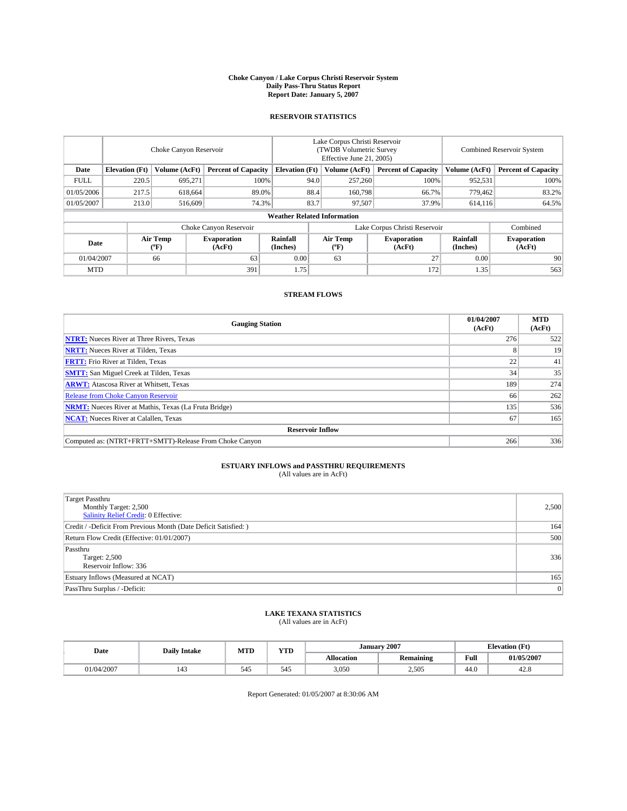#### **Choke Canyon / Lake Corpus Christi Reservoir System Daily Pass-Thru Status Report Report Date: January 5, 2007**

## **RESERVOIR STATISTICS**

|             | Choke Canyon Reservoir             |                  |                              |                       | Lake Corpus Christi Reservoir<br>(TWDB Volumetric Survey<br>Effective June 21, 2005) |                  |                               |                      | <b>Combined Reservoir System</b> |  |  |
|-------------|------------------------------------|------------------|------------------------------|-----------------------|--------------------------------------------------------------------------------------|------------------|-------------------------------|----------------------|----------------------------------|--|--|
| Date        | <b>Elevation</b> (Ft)              | Volume (AcFt)    | <b>Percent of Capacity</b>   | <b>Elevation</b> (Ft) |                                                                                      | Volume (AcFt)    | <b>Percent of Capacity</b>    | Volume (AcFt)        | <b>Percent of Capacity</b>       |  |  |
| <b>FULL</b> | 220.5                              | 695.271          | 100%                         |                       | 94.0                                                                                 | 257,260          | 100%                          | 952,531              | 100%                             |  |  |
| 01/05/2006  | 217.5                              | 618,664          |                              | 88.4<br>89.0%         |                                                                                      | 160,798          | 66.7%                         | 779.462              | 83.2%                            |  |  |
| 01/05/2007  | 213.0                              | 516,609          | 74.3%                        |                       | 83.7                                                                                 | 97.507           | 37.9%                         | 614,116              | 64.5%                            |  |  |
|             | <b>Weather Related Information</b> |                  |                              |                       |                                                                                      |                  |                               |                      |                                  |  |  |
|             |                                    |                  | Choke Canyon Reservoir       |                       |                                                                                      |                  | Lake Corpus Christi Reservoir |                      | Combined                         |  |  |
| Date        |                                    | Air Temp<br>(°F) | <b>Evaporation</b><br>(AcFt) | Rainfall<br>(Inches)  |                                                                                      | Air Temp<br>("F) | <b>Evaporation</b><br>(AcFt)  | Rainfall<br>(Inches) | <b>Evaporation</b><br>(AcFt)     |  |  |
| 01/04/2007  |                                    | 66               | 63                           | 0.00                  |                                                                                      | 63               | 27                            | 0.00                 | 90                               |  |  |
| <b>MTD</b>  |                                    |                  | 391                          | 1.75                  |                                                                                      |                  | 172                           | 1.35                 | 563                              |  |  |

## **STREAM FLOWS**

| <b>Gauging Station</b>                                       | 01/04/2007<br>(AcFt) | <b>MTD</b><br>(AcFt) |
|--------------------------------------------------------------|----------------------|----------------------|
| <b>NTRT:</b> Nueces River at Three Rivers, Texas             | 276                  | 522                  |
| <b>NRTT:</b> Nueces River at Tilden, Texas                   |                      | 19                   |
| <b>FRTT:</b> Frio River at Tilden, Texas                     | 22                   | 41                   |
| <b>SMTT:</b> San Miguel Creek at Tilden, Texas               | 34                   | 35                   |
| <b>ARWT:</b> Atascosa River at Whitsett, Texas               | 189                  | 274                  |
| <b>Release from Choke Canyon Reservoir</b>                   | 66                   | 262                  |
| <b>NRMT:</b> Nueces River at Mathis, Texas (La Fruta Bridge) | 135                  | 536                  |
| <b>NCAT:</b> Nueces River at Calallen, Texas                 | 67                   | 165                  |
| <b>Reservoir Inflow</b>                                      |                      |                      |
| Computed as: (NTRT+FRTT+SMTT)-Release From Choke Canyon      | 266                  | 336                  |

## **ESTUARY INFLOWS and PASSTHRU REQUIREMENTS**<br>(All values are in AcFt)

| <b>Target Passthru</b><br>Monthly Target: 2,500<br><b>Salinity Relief Credit: 0 Effective:</b> | 2,500 |
|------------------------------------------------------------------------------------------------|-------|
| Credit / -Deficit From Previous Month (Date Deficit Satisfied: )                               | 164   |
| Return Flow Credit (Effective: 01/01/2007)                                                     | 500   |
| Passthru<br>Target: 2,500<br>Reservoir Inflow: 336                                             | 336   |
| Estuary Inflows (Measured at NCAT)                                                             | 165   |
| PassThru Surplus / -Deficit:                                                                   | 0     |

# **LAKE TEXANA STATISTICS** (All values are in AcFt)

| Date       | <b>Daily Intake</b> | MTD | <b>YTD</b> |                   | January 2007     |      | <b>Elevation</b> (Ft) |
|------------|---------------------|-----|------------|-------------------|------------------|------|-----------------------|
|            |                     |     |            | <b>Allocation</b> | <b>Remaining</b> | Full | 01/05/2007            |
| 01/04/2007 | 143                 | 545 | 545        | 3.050             | 2.505            | 44.0 | 42.C                  |

Report Generated: 01/05/2007 at 8:30:06 AM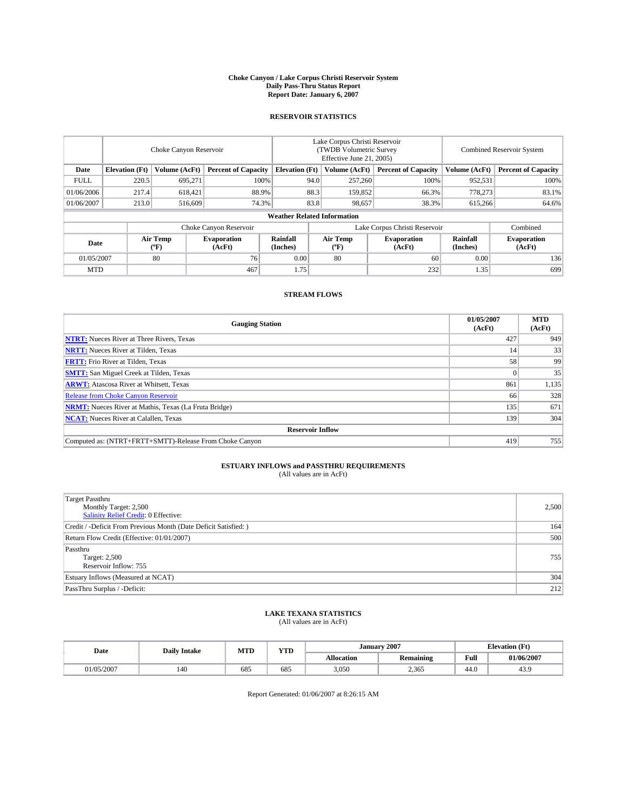#### **Choke Canyon / Lake Corpus Christi Reservoir System Daily Pass-Thru Status Report Report Date: January 6, 2007**

## **RESERVOIR STATISTICS**

|             | Choke Canyon Reservoir             |                  |                              |                       | Lake Corpus Christi Reservoir<br>(TWDB Volumetric Survey<br>Effective June 21, 2005) |                  |                               |                      | <b>Combined Reservoir System</b> |  |  |
|-------------|------------------------------------|------------------|------------------------------|-----------------------|--------------------------------------------------------------------------------------|------------------|-------------------------------|----------------------|----------------------------------|--|--|
| Date        | <b>Elevation</b> (Ft)              | Volume (AcFt)    | <b>Percent of Capacity</b>   | <b>Elevation</b> (Ft) |                                                                                      | Volume (AcFt)    | <b>Percent of Capacity</b>    | Volume (AcFt)        | <b>Percent of Capacity</b>       |  |  |
| <b>FULL</b> | 220.5                              | 695.271          |                              | 100%                  | 94.0                                                                                 | 257,260          | 100%                          | 952,531              | 100%                             |  |  |
| 01/06/2006  | 217.4                              | 618.421          | 88.9%                        |                       | 88.3                                                                                 | 159,852          | 66.3%                         | 778,273              | 83.1%                            |  |  |
| 01/06/2007  | 213.0                              | 516,609          | 74.3%                        |                       | 83.8                                                                                 | 98,657           | 38.3%                         | 615,266              | 64.6%                            |  |  |
|             | <b>Weather Related Information</b> |                  |                              |                       |                                                                                      |                  |                               |                      |                                  |  |  |
|             |                                    |                  | Choke Canyon Reservoir       |                       |                                                                                      |                  | Lake Corpus Christi Reservoir |                      | Combined                         |  |  |
| Date        |                                    | Air Temp<br>(°F) | <b>Evaporation</b><br>(AcFt) | Rainfall<br>(Inches)  |                                                                                      | Air Temp<br>("F) | <b>Evaporation</b><br>(AcFt)  | Rainfall<br>(Inches) | <b>Evaporation</b><br>(AcFt)     |  |  |
| 01/05/2007  |                                    | 80               | 76                           | 0.00                  |                                                                                      | 80               | 60                            | 0.00                 | 136                              |  |  |
| <b>MTD</b>  |                                    |                  | 467                          | 1.75                  |                                                                                      |                  | 232                           | 1.35                 | 699                              |  |  |

## **STREAM FLOWS**

| <b>Gauging Station</b>                                       | 01/05/2007<br>(AcFt) | <b>MTD</b><br>(AcFt) |
|--------------------------------------------------------------|----------------------|----------------------|
| <b>NTRT:</b> Nueces River at Three Rivers, Texas             | 427                  | 949                  |
| <b>NRTT:</b> Nueces River at Tilden, Texas                   | 14                   | 33                   |
| <b>FRTT:</b> Frio River at Tilden, Texas                     | 58                   | 99                   |
| <b>SMTT:</b> San Miguel Creek at Tilden, Texas               |                      | 35                   |
| <b>ARWT:</b> Atascosa River at Whitsett, Texas               | 861                  | 1,135                |
| <b>Release from Choke Canyon Reservoir</b>                   | 66                   | 328                  |
| <b>NRMT:</b> Nueces River at Mathis, Texas (La Fruta Bridge) | 135                  | 671                  |
| <b>NCAT:</b> Nueces River at Calallen, Texas                 | 139                  | 304                  |
| <b>Reservoir Inflow</b>                                      |                      |                      |
| Computed as: (NTRT+FRTT+SMTT)-Release From Choke Canyon      | 419                  | 755                  |

## **ESTUARY INFLOWS and PASSTHRU REQUIREMENTS**<br>(All values are in AcFt)

| <b>Target Passthru</b><br>Monthly Target: 2,500<br><b>Salinity Relief Credit: 0 Effective:</b> | 2,500 |
|------------------------------------------------------------------------------------------------|-------|
| Credit / -Deficit From Previous Month (Date Deficit Satisfied: )                               | 164   |
| Return Flow Credit (Effective: 01/01/2007)                                                     | 500   |
| Passthru<br>Target: 2,500<br>Reservoir Inflow: 755                                             | 755   |
| Estuary Inflows (Measured at NCAT)                                                             | 304   |
| PassThru Surplus / -Deficit:                                                                   | 212   |

# **LAKE TEXANA STATISTICS** (All values are in AcFt)

| Date      | MTD<br><b>Daily Intake</b> |     | <b>YTD</b> |                   | January 2007     | <b>Elevation</b> (Ft) |            |
|-----------|----------------------------|-----|------------|-------------------|------------------|-----------------------|------------|
|           |                            |     |            | <b>Allocation</b> | <b>Remaining</b> | Full                  | 01/06/2007 |
| 1/05/2007 | 140                        | 685 | 685        | 3.050             | 2.365            | 44.0                  | 43.9       |

Report Generated: 01/06/2007 at 8:26:15 AM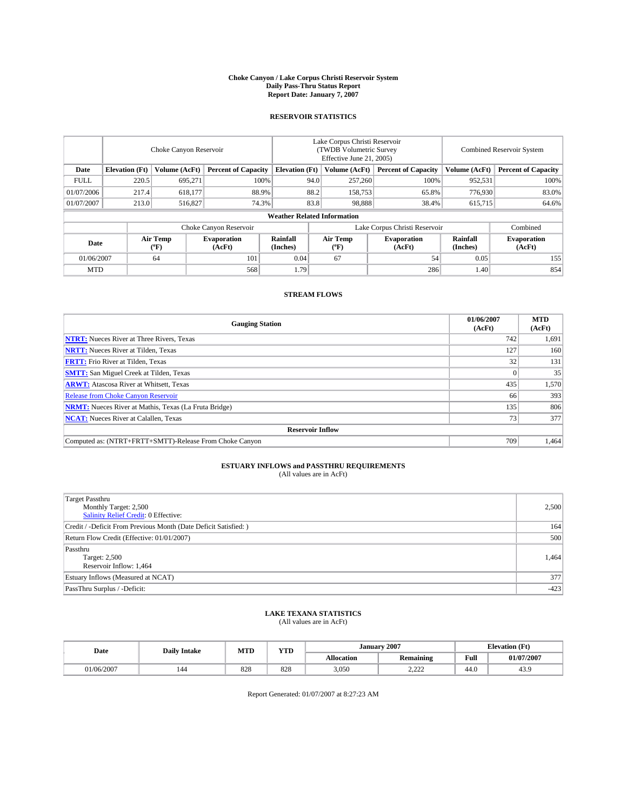#### **Choke Canyon / Lake Corpus Christi Reservoir System Daily Pass-Thru Status Report Report Date: January 7, 2007**

## **RESERVOIR STATISTICS**

|             | Choke Canyon Reservoir             |                  |                              |                       | Lake Corpus Christi Reservoir<br>(TWDB Volumetric Survey<br>Effective June 21, 2005) |                                           |                               | Combined Reservoir System |                              |  |  |
|-------------|------------------------------------|------------------|------------------------------|-----------------------|--------------------------------------------------------------------------------------|-------------------------------------------|-------------------------------|---------------------------|------------------------------|--|--|
| Date        | <b>Elevation</b> (Ft)              | Volume (AcFt)    | <b>Percent of Capacity</b>   | <b>Elevation</b> (Ft) |                                                                                      | Volume (AcFt)                             | <b>Percent of Capacity</b>    | Volume (AcFt)             | <b>Percent of Capacity</b>   |  |  |
| <b>FULL</b> | 220.5                              | 695.271          | 100%                         |                       | 94.0                                                                                 | 257,260                                   | 100%                          | 952,531                   | 100%                         |  |  |
| 01/07/2006  | 217.4                              | 618,177          | 88.9%                        |                       | 88.2                                                                                 | 158,753                                   | 65.8%                         | 776,930                   | 83.0%                        |  |  |
| 01/07/2007  | 213.0                              | 516,827          | 74.3%                        |                       | 83.8                                                                                 | 98,888                                    | 38.4%                         | 615,715                   | 64.6%                        |  |  |
|             | <b>Weather Related Information</b> |                  |                              |                       |                                                                                      |                                           |                               |                           |                              |  |  |
|             |                                    |                  | Choke Canyon Reservoir       |                       |                                                                                      |                                           | Lake Corpus Christi Reservoir |                           | Combined                     |  |  |
| Date        |                                    | Air Temp<br>(°F) | <b>Evaporation</b><br>(AcFt) | Rainfall<br>(Inches)  |                                                                                      | Air Temp<br>$({}^{\mathrm{o}}\mathrm{F})$ | <b>Evaporation</b><br>(AcFt)  | Rainfall<br>(Inches)      | <b>Evaporation</b><br>(AcFt) |  |  |
| 01/06/2007  |                                    | 64               | 101                          | 0.04                  |                                                                                      | 67                                        | 54                            | 0.05                      | 155                          |  |  |
| <b>MTD</b>  |                                    |                  | 568                          | 1.79                  |                                                                                      |                                           | 286                           | 1.40                      | 854                          |  |  |

## **STREAM FLOWS**

| <b>Gauging Station</b>                                       | 01/06/2007<br>(AcFt) | <b>MTD</b><br>(AcFt) |
|--------------------------------------------------------------|----------------------|----------------------|
| <b>NTRT:</b> Nueces River at Three Rivers, Texas             | 742                  | 1,691                |
| <b>NRTT:</b> Nueces River at Tilden, Texas                   | 127                  | 160                  |
| <b>FRTT:</b> Frio River at Tilden, Texas                     | 32                   | 131                  |
| <b>SMTT:</b> San Miguel Creek at Tilden, Texas               |                      | 35                   |
| <b>ARWT:</b> Atascosa River at Whitsett, Texas               | 435                  | 1,570                |
| <b>Release from Choke Canyon Reservoir</b>                   | 66                   | 393                  |
| <b>NRMT:</b> Nueces River at Mathis, Texas (La Fruta Bridge) | 135                  | 806                  |
| <b>NCAT:</b> Nueces River at Calallen, Texas                 | 73                   | 377                  |
| <b>Reservoir Inflow</b>                                      |                      |                      |
| Computed as: (NTRT+FRTT+SMTT)-Release From Choke Canyon      | 709                  | 1,464                |

## **ESTUARY INFLOWS and PASSTHRU REQUIREMENTS**<br>(All values are in AcFt)

| <b>Target Passthru</b><br>Monthly Target: 2,500<br>Salinity Relief Credit: 0 Effective: | 2,500  |
|-----------------------------------------------------------------------------------------|--------|
| Credit / -Deficit From Previous Month (Date Deficit Satisfied: )                        | 164    |
| Return Flow Credit (Effective: 01/01/2007)                                              | 500    |
| Passthru<br>Target: 2,500<br>Reservoir Inflow: 1,464                                    | 1.464  |
| Estuary Inflows (Measured at NCAT)                                                      | 377    |
| PassThru Surplus / -Deficit:                                                            | $-423$ |

# **LAKE TEXANA STATISTICS** (All values are in AcFt)

|  | Date       | <b>MTD</b><br><b>Daily Intake</b> |     | <b>YTD</b> | January 2007<br><b>Elevation</b> (Ft) |                      |      |            |
|--|------------|-----------------------------------|-----|------------|---------------------------------------|----------------------|------|------------|
|  |            |                                   |     |            | <b>Allocation</b>                     | <b>Remaining</b>     | Full | 01/07/2007 |
|  | 01/06/2007 | 144                               | 828 | 828        | 3,050                                 | 0.22<br><u>_____</u> | 44.0 | 43.9       |

Report Generated: 01/07/2007 at 8:27:23 AM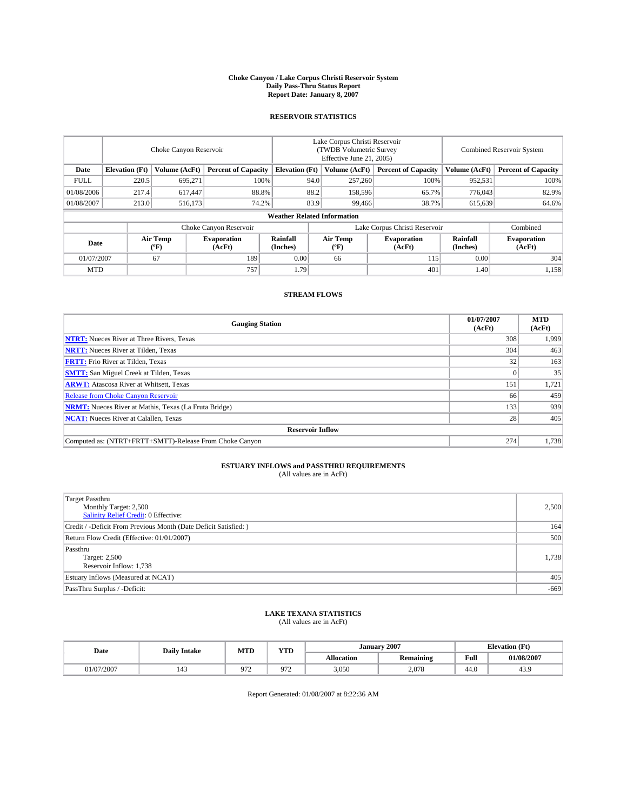#### **Choke Canyon / Lake Corpus Christi Reservoir System Daily Pass-Thru Status Report Report Date: January 8, 2007**

## **RESERVOIR STATISTICS**

|             | Choke Canyon Reservoir             |                  |                              |                       | Lake Corpus Christi Reservoir<br>(TWDB Volumetric Survey<br>Effective June 21, 2005) |                  |                               | Combined Reservoir System |                              |  |  |
|-------------|------------------------------------|------------------|------------------------------|-----------------------|--------------------------------------------------------------------------------------|------------------|-------------------------------|---------------------------|------------------------------|--|--|
| Date        | <b>Elevation</b> (Ft)              | Volume (AcFt)    | <b>Percent of Capacity</b>   | <b>Elevation</b> (Ft) |                                                                                      | Volume (AcFt)    | <b>Percent of Capacity</b>    | Volume (AcFt)             | <b>Percent of Capacity</b>   |  |  |
| <b>FULL</b> | 220.5                              | 695.271          | 100%                         |                       | 94.0                                                                                 | 257,260          | 100%                          | 952,531                   | 100%                         |  |  |
| 01/08/2006  | 217.4                              | 617.447          | 88.8%                        |                       | 88.2                                                                                 | 158,596          | 65.7%                         | 776,043                   | 82.9%                        |  |  |
| 01/08/2007  | 213.0                              | 516,173          | 74.2%                        |                       | 83.9                                                                                 | 99,466           | 38.7%                         | 615,639                   | 64.6%                        |  |  |
|             | <b>Weather Related Information</b> |                  |                              |                       |                                                                                      |                  |                               |                           |                              |  |  |
|             |                                    |                  | Choke Canyon Reservoir       |                       |                                                                                      |                  | Lake Corpus Christi Reservoir |                           | Combined                     |  |  |
| Date        |                                    | Air Temp<br>("F) | <b>Evaporation</b><br>(AcFt) | Rainfall<br>(Inches)  |                                                                                      | Air Temp<br>("F) | <b>Evaporation</b><br>(AcFt)  | Rainfall<br>(Inches)      | <b>Evaporation</b><br>(AcFt) |  |  |
| 01/07/2007  |                                    | 67               | 189                          | 0.00                  |                                                                                      | 66               | 115                           | 0.00                      | 304                          |  |  |
| <b>MTD</b>  |                                    |                  | 757                          | 1.79                  |                                                                                      |                  | 401                           | 1.40                      | 1,158                        |  |  |

## **STREAM FLOWS**

| <b>Gauging Station</b>                                       | 01/07/2007<br>(AcFt) | <b>MTD</b><br>(AcFt) |
|--------------------------------------------------------------|----------------------|----------------------|
| <b>NTRT:</b> Nueces River at Three Rivers, Texas             | 308                  | 1,999                |
| <b>NRTT:</b> Nueces River at Tilden, Texas                   | 304                  | 463                  |
| <b>FRTT:</b> Frio River at Tilden, Texas                     | 32                   | 163                  |
| <b>SMTT:</b> San Miguel Creek at Tilden, Texas               |                      | 35                   |
| <b>ARWT:</b> Atascosa River at Whitsett, Texas               | 151                  | 1,721                |
| <b>Release from Choke Canyon Reservoir</b>                   | 66                   | 459                  |
| <b>NRMT:</b> Nueces River at Mathis, Texas (La Fruta Bridge) | 133                  | 939                  |
| <b>NCAT:</b> Nueces River at Calallen, Texas                 | 28                   | 405                  |
| <b>Reservoir Inflow</b>                                      |                      |                      |
| Computed as: (NTRT+FRTT+SMTT)-Release From Choke Canyon      | 274                  | 1,738                |

## **ESTUARY INFLOWS and PASSTHRU REQUIREMENTS**<br>(All values are in AcFt)

| <b>Target Passthru</b><br>Monthly Target: 2,500<br><b>Salinity Relief Credit: 0 Effective:</b> | 2,500  |
|------------------------------------------------------------------------------------------------|--------|
| Credit / -Deficit From Previous Month (Date Deficit Satisfied: )                               | 164    |
| Return Flow Credit (Effective: 01/01/2007)                                                     | 500    |
| Passthru<br>Target: 2,500<br>Reservoir Inflow: 1,738                                           | 1,738  |
| Estuary Inflows (Measured at NCAT)                                                             | 405    |
| PassThru Surplus / -Deficit:                                                                   | $-669$ |

# **LAKE TEXANA STATISTICS** (All values are in AcFt)

|  |            | <b>MTD</b><br><b>Daily Intake</b><br>Date |                                          | <b>YTD</b>              |                   | January 2007     | <b>Elevation</b> (Ft) |            |  |
|--|------------|-------------------------------------------|------------------------------------------|-------------------------|-------------------|------------------|-----------------------|------------|--|
|  |            |                                           |                                          |                         | <b>Allocation</b> | <b>Remaining</b> | Full                  | 01/08/2007 |  |
|  | J1/07/2007 | $\overline{A}$<br>145                     | $Q7^{\circ}$<br>$\overline{\phantom{0}}$ | 07 <sup>7</sup><br>21 Z | 3,050             | 2,078            | 44.0                  | 43.9       |  |

Report Generated: 01/08/2007 at 8:22:36 AM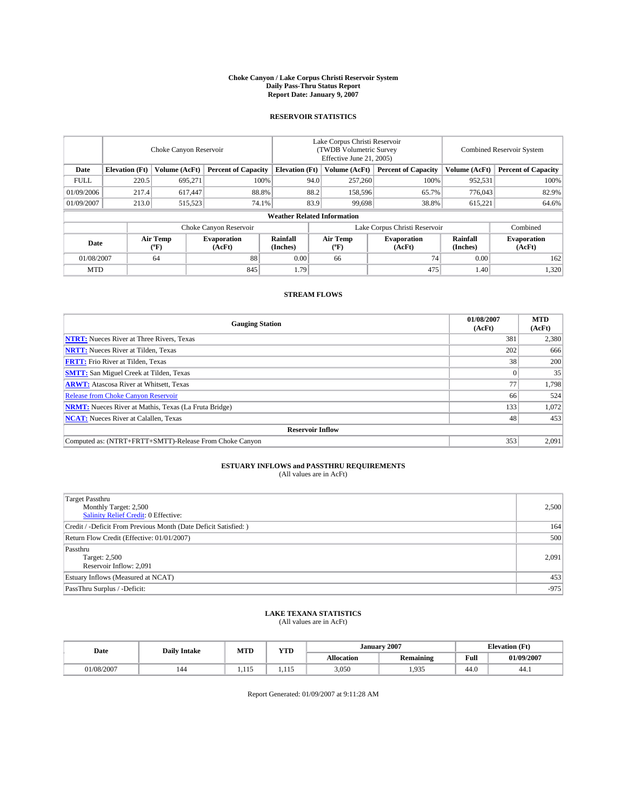#### **Choke Canyon / Lake Corpus Christi Reservoir System Daily Pass-Thru Status Report Report Date: January 9, 2007**

## **RESERVOIR STATISTICS**

|             | Choke Canyon Reservoir             |                  |                              |                       | Lake Corpus Christi Reservoir<br>(TWDB Volumetric Survey<br>Effective June 21, 2005) |                                           |                               | <b>Combined Reservoir System</b> |                              |  |  |
|-------------|------------------------------------|------------------|------------------------------|-----------------------|--------------------------------------------------------------------------------------|-------------------------------------------|-------------------------------|----------------------------------|------------------------------|--|--|
| Date        | <b>Elevation</b> (Ft)              | Volume (AcFt)    | <b>Percent of Capacity</b>   | <b>Elevation</b> (Ft) |                                                                                      | Volume (AcFt)                             | <b>Percent of Capacity</b>    | Volume (AcFt)                    | <b>Percent of Capacity</b>   |  |  |
| <b>FULL</b> | 220.5                              | 695.271          |                              | 100%                  | 94.0                                                                                 | 257,260                                   | 100%                          | 952,531                          | 100%                         |  |  |
| 01/09/2006  | 217.4                              | 617.447          | 88.8%                        |                       | 88.2                                                                                 | 158,596                                   | 65.7%                         | 776,043                          | 82.9%                        |  |  |
| 01/09/2007  | 213.0                              | 515,523          | 74.1%                        |                       | 83.9                                                                                 | 99,698                                    | 38.8%                         | 615,221                          | 64.6%                        |  |  |
|             | <b>Weather Related Information</b> |                  |                              |                       |                                                                                      |                                           |                               |                                  |                              |  |  |
|             |                                    |                  | Choke Canyon Reservoir       |                       |                                                                                      |                                           | Lake Corpus Christi Reservoir |                                  | Combined                     |  |  |
| Date        |                                    | Air Temp<br>(°F) | <b>Evaporation</b><br>(AcFt) | Rainfall<br>(Inches)  |                                                                                      | Air Temp<br>$({}^{\mathrm{o}}\mathrm{F})$ | <b>Evaporation</b><br>(AcFt)  | Rainfall<br>(Inches)             | <b>Evaporation</b><br>(AcFt) |  |  |
| 01/08/2007  |                                    | 64               | 88                           | 0.00                  |                                                                                      | 66                                        | 74                            | 0.00                             | 162                          |  |  |
| <b>MTD</b>  |                                    |                  | 845                          | 1.79                  |                                                                                      |                                           | 475                           | 1.40                             | 1,320                        |  |  |

## **STREAM FLOWS**

| <b>Gauging Station</b>                                       | 01/08/2007<br>(AcFt) | <b>MTD</b><br>(AcFt) |
|--------------------------------------------------------------|----------------------|----------------------|
| <b>NTRT:</b> Nueces River at Three Rivers, Texas             | 381                  | 2,380                |
| <b>NRTT:</b> Nueces River at Tilden, Texas                   | 202                  | 666                  |
| <b>FRTT:</b> Frio River at Tilden, Texas                     | 38                   | 200                  |
| <b>SMTT:</b> San Miguel Creek at Tilden, Texas               |                      | 35                   |
| <b>ARWT:</b> Atascosa River at Whitsett, Texas               | 77                   | 1,798                |
| <b>Release from Choke Canyon Reservoir</b>                   | 66                   | 524                  |
| <b>NRMT:</b> Nueces River at Mathis, Texas (La Fruta Bridge) | 133                  | 1,072                |
| <b>NCAT:</b> Nueces River at Calallen, Texas                 | 48                   | 453                  |
| <b>Reservoir Inflow</b>                                      |                      |                      |
| Computed as: (NTRT+FRTT+SMTT)-Release From Choke Canyon      | 353                  | 2,091                |

## **ESTUARY INFLOWS and PASSTHRU REQUIREMENTS**<br>(All values are in AcFt)

| <b>Target Passthru</b><br>Monthly Target: 2,500<br><b>Salinity Relief Credit: 0 Effective:</b> | 2,500  |
|------------------------------------------------------------------------------------------------|--------|
| Credit / -Deficit From Previous Month (Date Deficit Satisfied: )                               | 164    |
| Return Flow Credit (Effective: 01/01/2007)                                                     | 500    |
| Passthru<br>Target: 2,500<br>Reservoir Inflow: 2,091                                           | 2,091  |
| Estuary Inflows (Measured at NCAT)                                                             | 453    |
| PassThru Surplus / -Deficit:                                                                   | $-975$ |

### **LAKE TEXANA STATISTICS** (All values are in AcFt)

| Date       | <b>Daily Intake</b> | MTD | <b>YTD</b> |            | <b>January 2007</b> |                                         | <b>Elevation (Ft)</b> |  |
|------------|---------------------|-----|------------|------------|---------------------|-----------------------------------------|-----------------------|--|
|            |                     |     |            | Allocation | <b>Remaining</b>    | Full<br>the contract of the contract of | 01/09/2007            |  |
| 01/08/2007 | 144                 |     | .          | 3,050      | 1.935               | 44.0                                    | 44.1                  |  |

Report Generated: 01/09/2007 at 9:11:28 AM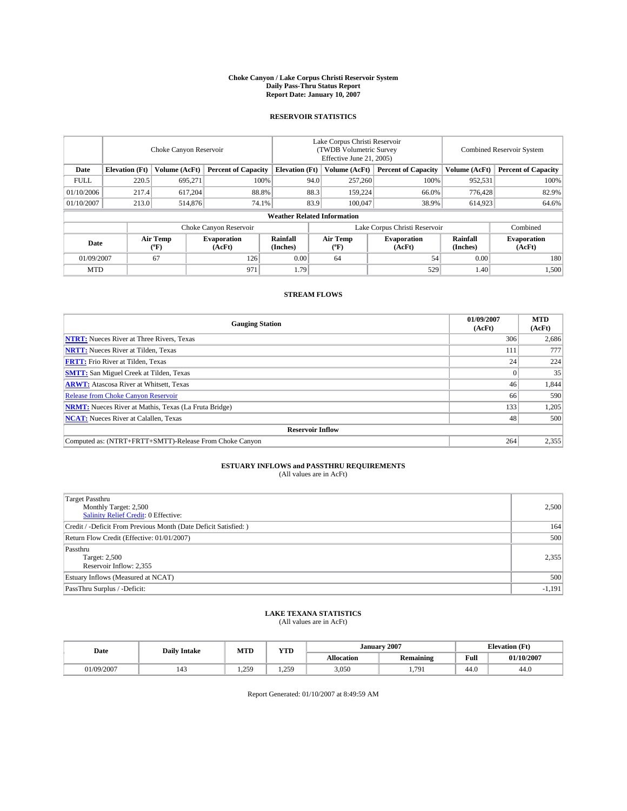#### **Choke Canyon / Lake Corpus Christi Reservoir System Daily Pass-Thru Status Report Report Date: January 10, 2007**

## **RESERVOIR STATISTICS**

|             | Choke Canyon Reservoir             |                  |                              |                       | Lake Corpus Christi Reservoir<br>(TWDB Volumetric Survey<br>Effective June 21, 2005) |                  |                               |                      | <b>Combined Reservoir System</b> |  |  |
|-------------|------------------------------------|------------------|------------------------------|-----------------------|--------------------------------------------------------------------------------------|------------------|-------------------------------|----------------------|----------------------------------|--|--|
| Date        | <b>Elevation</b> (Ft)              | Volume (AcFt)    | <b>Percent of Capacity</b>   | <b>Elevation</b> (Ft) |                                                                                      | Volume (AcFt)    | <b>Percent of Capacity</b>    | Volume (AcFt)        | <b>Percent of Capacity</b>       |  |  |
| <b>FULL</b> | 220.5                              | 695,271          | 100%                         |                       | 94.0                                                                                 | 257,260          | 100%                          | 952,531              | 100%                             |  |  |
| 01/10/2006  | 217.4                              | 617,204          |                              | 88.8%<br>88.3         |                                                                                      | 159,224          | 66.0%                         | 776,428              | 82.9%                            |  |  |
| 01/10/2007  | 213.0                              | 514,876          | 74.1%                        |                       | 83.9                                                                                 | 100,047          | 38.9%                         | 614,923              | 64.6%                            |  |  |
|             | <b>Weather Related Information</b> |                  |                              |                       |                                                                                      |                  |                               |                      |                                  |  |  |
|             |                                    |                  | Choke Canyon Reservoir       |                       |                                                                                      |                  | Lake Corpus Christi Reservoir |                      | Combined                         |  |  |
| Date        |                                    | Air Temp<br>("F) | <b>Evaporation</b><br>(AcFt) | Rainfall<br>(Inches)  |                                                                                      | Air Temp<br>("F) | <b>Evaporation</b><br>(AcFt)  | Rainfall<br>(Inches) | <b>Evaporation</b><br>(AcFt)     |  |  |
| 01/09/2007  |                                    | 67               | 126                          | 0.00                  |                                                                                      | 64               | 54                            | 0.00                 | 180                              |  |  |
| <b>MTD</b>  |                                    |                  | 971                          | 1.79                  |                                                                                      |                  | 529                           | 1.40                 | 1,500                            |  |  |

## **STREAM FLOWS**

| <b>Gauging Station</b>                                       | 01/09/2007<br>(AcFt) | <b>MTD</b><br>(AcFt) |  |  |  |  |
|--------------------------------------------------------------|----------------------|----------------------|--|--|--|--|
| <b>NTRT:</b> Nueces River at Three Rivers, Texas             | 306                  | 2,686                |  |  |  |  |
| <b>NRTT:</b> Nueces River at Tilden, Texas                   | 111                  | 777                  |  |  |  |  |
| <b>FRTT:</b> Frio River at Tilden, Texas                     | 24                   | 224                  |  |  |  |  |
| <b>SMTT:</b> San Miguel Creek at Tilden, Texas               |                      | 35                   |  |  |  |  |
| <b>ARWT:</b> Atascosa River at Whitsett, Texas               | 46                   | 1,844                |  |  |  |  |
| <b>Release from Choke Canyon Reservoir</b>                   | 66                   | 590                  |  |  |  |  |
| <b>NRMT:</b> Nueces River at Mathis, Texas (La Fruta Bridge) | 133                  | 1,205                |  |  |  |  |
| <b>NCAT:</b> Nueces River at Calallen, Texas                 | 48                   | 500                  |  |  |  |  |
| <b>Reservoir Inflow</b>                                      |                      |                      |  |  |  |  |
| Computed as: (NTRT+FRTT+SMTT)-Release From Choke Canyon      | 264                  | 2,355                |  |  |  |  |

## **ESTUARY INFLOWS and PASSTHRU REQUIREMENTS**<br>(All values are in AcFt)

| <b>Target Passthru</b><br>Monthly Target: 2,500<br>Salinity Relief Credit: 0 Effective: | 2,500    |
|-----------------------------------------------------------------------------------------|----------|
| Credit / -Deficit From Previous Month (Date Deficit Satisfied: )                        | 164      |
| Return Flow Credit (Effective: 01/01/2007)                                              | 500      |
| Passthru<br>Target: 2,500<br>Reservoir Inflow: 2,355                                    | 2,355    |
| Estuary Inflows (Measured at NCAT)                                                      | 500      |
| PassThru Surplus / -Deficit:                                                            | $-1,191$ |

# **LAKE TEXANA STATISTICS** (All values are in AcFt)

| Date      | <b>Daily Intake</b> | <b>MTD</b>   | <b>YTD</b>    | <b>January</b> | 2007             | <b>Elevation</b> (Ft) |            |
|-----------|---------------------|--------------|---------------|----------------|------------------|-----------------------|------------|
|           |                     |              |               | Allocation     | <b>Remaining</b> | Full                  | 01/10/2007 |
| 1/09/2007 | 145                 | 250<br>، سمد | 250<br>1.4 J. | 3,050          | 70               | 44.0                  | 44.0       |

Report Generated: 01/10/2007 at 8:49:59 AM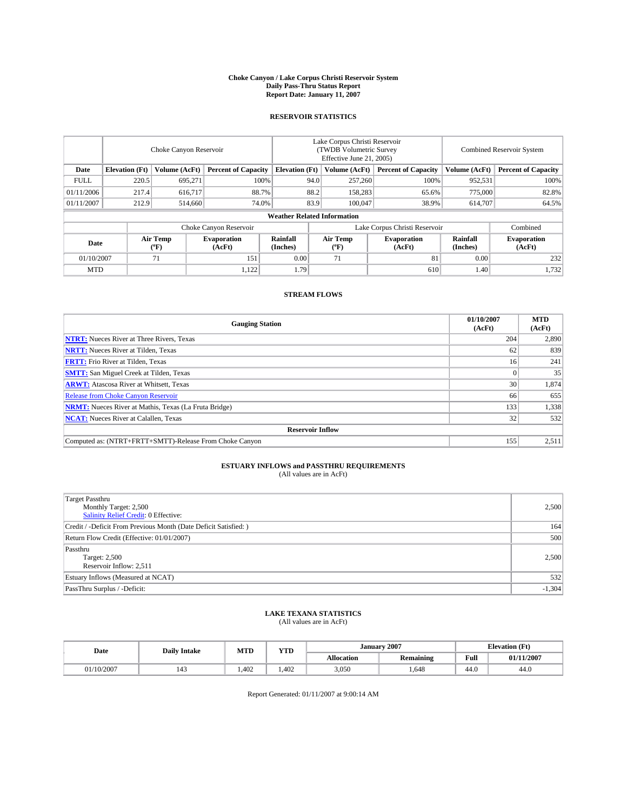#### **Choke Canyon / Lake Corpus Christi Reservoir System Daily Pass-Thru Status Report Report Date: January 11, 2007**

## **RESERVOIR STATISTICS**

|             | Choke Canyon Reservoir             |                  |                              |                       | Lake Corpus Christi Reservoir<br>(TWDB Volumetric Survey<br>Effective June 21, 2005) |                  |                               |                      | <b>Combined Reservoir System</b> |  |  |
|-------------|------------------------------------|------------------|------------------------------|-----------------------|--------------------------------------------------------------------------------------|------------------|-------------------------------|----------------------|----------------------------------|--|--|
| Date        | <b>Elevation</b> (Ft)              | Volume (AcFt)    | <b>Percent of Capacity</b>   | <b>Elevation</b> (Ft) |                                                                                      | Volume (AcFt)    | <b>Percent of Capacity</b>    | Volume (AcFt)        | <b>Percent of Capacity</b>       |  |  |
| <b>FULL</b> | 220.5                              | 695.271          |                              | 100%                  | 94.0                                                                                 | 257,260          | 100%                          | 952,531              | 100%                             |  |  |
| 01/11/2006  | 217.4                              | 616,717          | 88.7%                        |                       | 88.2                                                                                 | 158.283          | 65.6%                         | 775,000              | 82.8%                            |  |  |
| 01/11/2007  | 212.9                              | 514,660          | 74.0%                        |                       | 83.9                                                                                 | 100,047          | 38.9%                         | 614,707              | 64.5%                            |  |  |
|             | <b>Weather Related Information</b> |                  |                              |                       |                                                                                      |                  |                               |                      |                                  |  |  |
|             |                                    |                  | Choke Canyon Reservoir       |                       |                                                                                      |                  | Lake Corpus Christi Reservoir |                      | Combined                         |  |  |
| Date        |                                    | Air Temp<br>(°F) | <b>Evaporation</b><br>(AcFt) | Rainfall<br>(Inches)  |                                                                                      | Air Temp<br>("F) | <b>Evaporation</b><br>(AcFt)  | Rainfall<br>(Inches) | <b>Evaporation</b><br>(AcFt)     |  |  |
| 01/10/2007  |                                    | 71               | 151                          | 0.00                  |                                                                                      | 71               | 81                            | 0.00                 | 232                              |  |  |
| <b>MTD</b>  |                                    |                  | 1,122                        | 1.79                  |                                                                                      |                  | 610                           | 1.40                 | 1,732                            |  |  |

## **STREAM FLOWS**

| <b>Gauging Station</b>                                       | 01/10/2007<br>(AcFt) | <b>MTD</b><br>(AcFt) |  |  |  |  |  |
|--------------------------------------------------------------|----------------------|----------------------|--|--|--|--|--|
| <b>NTRT:</b> Nueces River at Three Rivers, Texas             | 204                  | 2,890                |  |  |  |  |  |
| <b>NRTT:</b> Nueces River at Tilden, Texas                   | 62                   | 839                  |  |  |  |  |  |
| <b>FRTT:</b> Frio River at Tilden, Texas                     | 16                   | 241                  |  |  |  |  |  |
| <b>SMTT:</b> San Miguel Creek at Tilden, Texas               |                      | 35                   |  |  |  |  |  |
| <b>ARWT:</b> Atascosa River at Whitsett, Texas               | 30                   | 1,874                |  |  |  |  |  |
| <b>Release from Choke Canyon Reservoir</b>                   | 66                   | 655                  |  |  |  |  |  |
| <b>NRMT:</b> Nueces River at Mathis, Texas (La Fruta Bridge) | 133                  | 1,338                |  |  |  |  |  |
| <b>NCAT:</b> Nueces River at Calallen, Texas                 | 32                   | 532                  |  |  |  |  |  |
| <b>Reservoir Inflow</b>                                      |                      |                      |  |  |  |  |  |
| Computed as: (NTRT+FRTT+SMTT)-Release From Choke Canyon      | 155                  | 2,511                |  |  |  |  |  |

## **ESTUARY INFLOWS and PASSTHRU REQUIREMENTS**<br>(All values are in AcFt)

| <b>Target Passthru</b><br>Monthly Target: 2,500<br>Salinity Relief Credit: 0 Effective: | 2,500    |
|-----------------------------------------------------------------------------------------|----------|
| Credit / -Deficit From Previous Month (Date Deficit Satisfied: )                        | 164      |
| Return Flow Credit (Effective: 01/01/2007)                                              | 500      |
| Passthru<br>Target: 2,500<br>Reservoir Inflow: 2,511                                    | 2.500    |
| Estuary Inflows (Measured at NCAT)                                                      | 532      |
| PassThru Surplus / -Deficit:                                                            | $-1,304$ |

# **LAKE TEXANA STATISTICS** (All values are in AcFt)

| Date       | <b>Daily Intake</b> | MTD   | <b>YTD</b> | January    |                  | <b>Elevation</b> (Ft) |            |
|------------|---------------------|-------|------------|------------|------------------|-----------------------|------------|
|            |                     |       |            | Allocation | <b>Remaining</b> | Full                  | 01/11/2007 |
| 01/10/2007 | 143                 | 1.402 | .402       | 3,050      | .648             | 44.0                  | 44.0       |

Report Generated: 01/11/2007 at 9:00:14 AM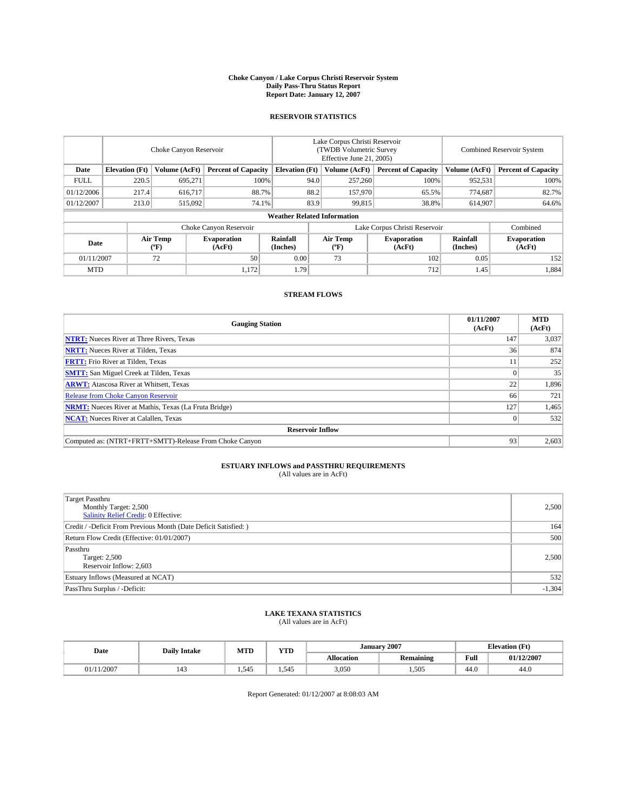#### **Choke Canyon / Lake Corpus Christi Reservoir System Daily Pass-Thru Status Report Report Date: January 12, 2007**

## **RESERVOIR STATISTICS**

|             | Choke Canyon Reservoir             |                         |                              |                       | Lake Corpus Christi Reservoir<br>(TWDB Volumetric Survey<br>Effective June 21, 2005) |                  |                               | Combined Reservoir System |                              |  |
|-------------|------------------------------------|-------------------------|------------------------------|-----------------------|--------------------------------------------------------------------------------------|------------------|-------------------------------|---------------------------|------------------------------|--|
| Date        | <b>Elevation</b> (Ft)              | Volume (AcFt)           | <b>Percent of Capacity</b>   | <b>Elevation</b> (Ft) |                                                                                      | Volume (AcFt)    | <b>Percent of Capacity</b>    | Volume (AcFt)             | <b>Percent of Capacity</b>   |  |
| <b>FULL</b> | 220.5                              | 695.271                 | 100%                         |                       | 94.0                                                                                 | 257,260          | 100%                          | 952,531                   | 100%                         |  |
| 01/12/2006  | 217.4                              | 616.717                 |                              | 88.7%<br>88.2         |                                                                                      | 157,970          | 65.5%                         | 774.687                   | 82.7%                        |  |
| 01/12/2007  | 213.0                              | 515,092                 | 74.1%                        |                       | 83.9                                                                                 | 99,815           | 38.8%                         | 614,907                   | 64.6%                        |  |
|             | <b>Weather Related Information</b> |                         |                              |                       |                                                                                      |                  |                               |                           |                              |  |
|             |                                    |                         | Choke Canyon Reservoir       |                       |                                                                                      |                  | Lake Corpus Christi Reservoir |                           | Combined                     |  |
| Date        |                                    | <b>Air Temp</b><br>(°F) | <b>Evaporation</b><br>(AcFt) | Rainfall<br>(Inches)  |                                                                                      | Air Temp<br>("F) | <b>Evaporation</b><br>(AcFt)  | Rainfall<br>(Inches)      | <b>Evaporation</b><br>(AcFt) |  |
| 01/11/2007  |                                    | 72                      | 50                           | 0.00                  |                                                                                      | 73               | 102                           | 0.05                      | 152                          |  |
| <b>MTD</b>  |                                    |                         | 1,172                        | 1.79                  |                                                                                      |                  | 712                           | 1.45                      | 1,884                        |  |

## **STREAM FLOWS**

| <b>Gauging Station</b>                                       | 01/11/2007<br>(AcFt) | <b>MTD</b><br>(AcFt) |  |  |  |  |
|--------------------------------------------------------------|----------------------|----------------------|--|--|--|--|
| <b>NTRT:</b> Nueces River at Three Rivers, Texas             | 147                  | 3,037                |  |  |  |  |
| <b>NRTT:</b> Nueces River at Tilden, Texas                   | 36                   | 874                  |  |  |  |  |
| <b>FRTT:</b> Frio River at Tilden, Texas                     |                      | 252                  |  |  |  |  |
| <b>SMTT:</b> San Miguel Creek at Tilden, Texas               |                      | 35                   |  |  |  |  |
| <b>ARWT:</b> Atascosa River at Whitsett, Texas               | 22                   | 1,896                |  |  |  |  |
| <b>Release from Choke Canyon Reservoir</b>                   | 66                   | 721                  |  |  |  |  |
| <b>NRMT:</b> Nueces River at Mathis, Texas (La Fruta Bridge) | 127                  | 1,465                |  |  |  |  |
| <b>NCAT:</b> Nueces River at Calallen, Texas                 |                      | 532                  |  |  |  |  |
| <b>Reservoir Inflow</b>                                      |                      |                      |  |  |  |  |
| Computed as: (NTRT+FRTT+SMTT)-Release From Choke Canyon      | 93 <sub>1</sub>      | 2,603                |  |  |  |  |

## **ESTUARY INFLOWS and PASSTHRU REQUIREMENTS**<br>(All values are in AcFt)

| <b>Target Passthru</b><br>Monthly Target: 2,500<br><b>Salinity Relief Credit: 0 Effective:</b> | 2,500    |
|------------------------------------------------------------------------------------------------|----------|
| Credit / -Deficit From Previous Month (Date Deficit Satisfied: )                               | 164      |
| Return Flow Credit (Effective: 01/01/2007)                                                     | 500      |
| Passthru<br>Target: 2,500<br>Reservoir Inflow: 2,603                                           | 2,500    |
| Estuary Inflows (Measured at NCAT)                                                             | 532      |
| PassThru Surplus / -Deficit:                                                                   | $-1,304$ |

# **LAKE TEXANA STATISTICS** (All values are in AcFt)

| Date   | <b>Daily Intake</b> | <b>MTD</b>            | <b>YTD</b> |            | January 2007     | <b>Elevation</b> (Ft)                   |            |
|--------|---------------------|-----------------------|------------|------------|------------------|-----------------------------------------|------------|
|        |                     |                       |            | Allocation | <b>Remaining</b> | Full<br>the contract of the contract of | 01/12/2007 |
| 1/2007 | 143                 | 54 <sup>5</sup><br>سد | 1.545      | 3,050      | 1.505            | 44.0                                    | 44.0       |

Report Generated: 01/12/2007 at 8:08:03 AM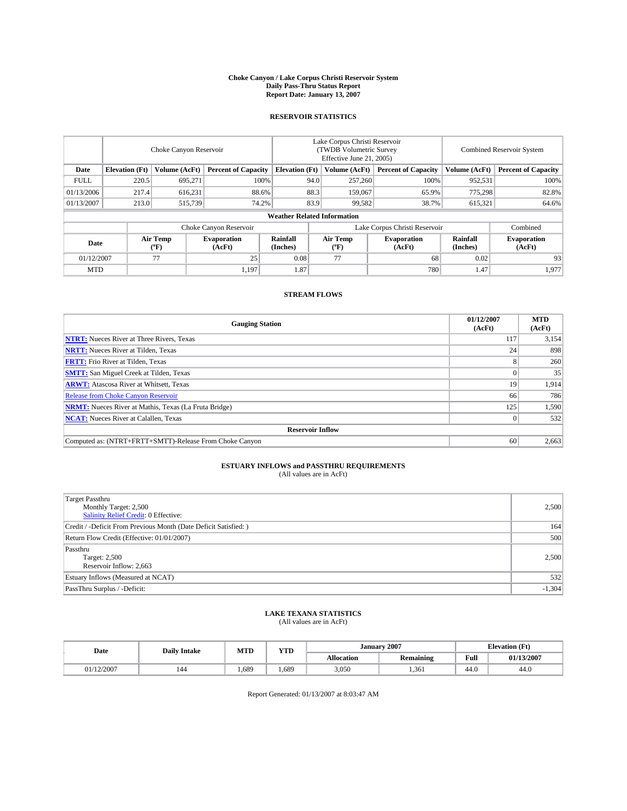#### **Choke Canyon / Lake Corpus Christi Reservoir System Daily Pass-Thru Status Report Report Date: January 13, 2007**

## **RESERVOIR STATISTICS**

|             | Choke Canyon Reservoir             |                  |                              |                       | Lake Corpus Christi Reservoir<br>(TWDB Volumetric Survey<br>Effective June 21, 2005) |                  |                              | <b>Combined Reservoir System</b> |                              |  |  |
|-------------|------------------------------------|------------------|------------------------------|-----------------------|--------------------------------------------------------------------------------------|------------------|------------------------------|----------------------------------|------------------------------|--|--|
| Date        | <b>Elevation</b> (Ft)              | Volume (AcFt)    | <b>Percent of Capacity</b>   | <b>Elevation</b> (Ft) |                                                                                      | Volume (AcFt)    | <b>Percent of Capacity</b>   | Volume (AcFt)                    | <b>Percent of Capacity</b>   |  |  |
| <b>FULL</b> | 220.5                              | 695.271          | 100%                         |                       | 94.0                                                                                 | 257,260          | 100%                         | 952,531                          | 100%                         |  |  |
| 01/13/2006  | 217.4                              | 616,231          | 88.6%                        |                       | 88.3                                                                                 | 159,067          | 65.9%                        | 775.298                          | 82.8%                        |  |  |
| 01/13/2007  | 213.0                              | 515,739          | 74.2%                        |                       | 83.9                                                                                 | 99,582           | 38.7%                        | 615,321                          | 64.6%                        |  |  |
|             | <b>Weather Related Information</b> |                  |                              |                       |                                                                                      |                  |                              |                                  |                              |  |  |
|             |                                    |                  | Choke Canyon Reservoir       |                       | Lake Corpus Christi Reservoir                                                        |                  |                              |                                  | Combined                     |  |  |
| Date        |                                    | Air Temp<br>(°F) | <b>Evaporation</b><br>(AcFt) | Rainfall<br>(Inches)  |                                                                                      | Air Temp<br>("F) | <b>Evaporation</b><br>(AcFt) | Rainfall<br>(Inches)             | <b>Evaporation</b><br>(AcFt) |  |  |
| 01/12/2007  |                                    | 77               | 25                           | 0.08                  |                                                                                      | 77               | 68                           | 0.02                             | 93                           |  |  |
| <b>MTD</b>  |                                    |                  | 1,197                        | 1.87                  |                                                                                      |                  | 780                          | 1.47                             | 1,977                        |  |  |

## **STREAM FLOWS**

| <b>Gauging Station</b>                                       | 01/12/2007<br>(AcFt) | <b>MTD</b><br>(AcFt) |
|--------------------------------------------------------------|----------------------|----------------------|
| <b>NTRT:</b> Nueces River at Three Rivers, Texas             | 117                  | 3,154                |
| <b>NRTT:</b> Nueces River at Tilden, Texas                   | 24                   | 898                  |
| <b>FRTT:</b> Frio River at Tilden, Texas                     |                      | 260                  |
| <b>SMTT:</b> San Miguel Creek at Tilden, Texas               |                      | 35                   |
| <b>ARWT:</b> Atascosa River at Whitsett, Texas               | 19                   | 1,914                |
| <b>Release from Choke Canyon Reservoir</b>                   | 66                   | 786                  |
| <b>NRMT:</b> Nueces River at Mathis, Texas (La Fruta Bridge) | 125                  | 1,590                |
| <b>NCAT:</b> Nueces River at Calallen, Texas                 |                      | 532                  |
| <b>Reservoir Inflow</b>                                      |                      |                      |
| Computed as: (NTRT+FRTT+SMTT)-Release From Choke Canyon      | 60                   | 2,663                |

## **ESTUARY INFLOWS and PASSTHRU REQUIREMENTS**<br>(All values are in AcFt)

| <b>Target Passthru</b><br>Monthly Target: 2,500<br><b>Salinity Relief Credit: 0 Effective:</b> | 2,500    |
|------------------------------------------------------------------------------------------------|----------|
| Credit / -Deficit From Previous Month (Date Deficit Satisfied: )                               | 164      |
| Return Flow Credit (Effective: 01/01/2007)                                                     | 500      |
| Passthru<br>Target: 2,500<br>Reservoir Inflow: 2,663                                           | 2,500    |
| Estuary Inflows (Measured at NCAT)                                                             | 532      |
| PassThru Surplus / -Deficit:                                                                   | $-1,304$ |

# **LAKE TEXANA STATISTICS** (All values are in AcFt)

|  | Date     | <b>Daily Intake</b> | <b>YTD</b><br><b>MTD</b> |       | <b>January 2007</b> |                  | <b>Elevation</b> (Ft)                   |            |  |
|--|----------|---------------------|--------------------------|-------|---------------------|------------------|-----------------------------------------|------------|--|
|  |          |                     |                          |       | Allocation          | <b>Remaining</b> | Full<br>the contract of the contract of | 01/13/2007 |  |
|  | /12/2007 | 144                 | .689                     | 1.689 | 3,050               | 1.361            | 44.0                                    | 44.0       |  |

Report Generated: 01/13/2007 at 8:03:47 AM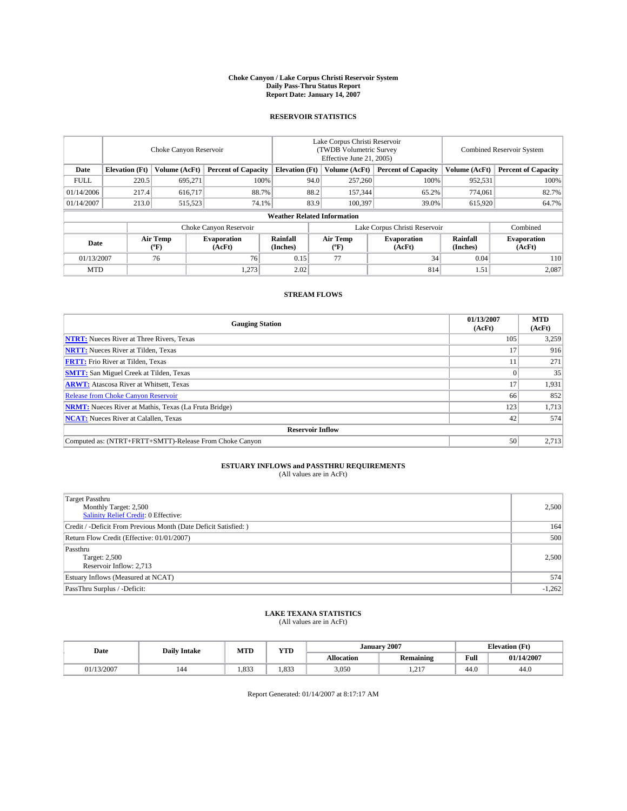#### **Choke Canyon / Lake Corpus Christi Reservoir System Daily Pass-Thru Status Report Report Date: January 14, 2007**

### **RESERVOIR STATISTICS**

|             | Choke Canyon Reservoir |                               |                              |                                    | Lake Corpus Christi Reservoir<br>(TWDB Volumetric Survey<br>Effective June 21, 2005) |                  |                              | <b>Combined Reservoir System</b> |                              |  |
|-------------|------------------------|-------------------------------|------------------------------|------------------------------------|--------------------------------------------------------------------------------------|------------------|------------------------------|----------------------------------|------------------------------|--|
| Date        | <b>Elevation</b> (Ft)  | Volume (AcFt)                 | <b>Percent of Capacity</b>   | <b>Elevation</b> (Ft)              |                                                                                      | Volume (AcFt)    | <b>Percent of Capacity</b>   | Volume (AcFt)                    | <b>Percent of Capacity</b>   |  |
| <b>FULL</b> | 220.5                  | 695.271                       | 100%                         |                                    | 94.0                                                                                 | 257,260          | 100%                         | 952,531                          | 100%                         |  |
| 01/14/2006  | 217.4                  | 616,717                       | 88.7%                        |                                    | 88.2                                                                                 | 157,344          | 65.2%                        | 774,061                          | 82.7%                        |  |
| 01/14/2007  | 213.0                  | 515,523                       | 74.1%                        |                                    | 83.9                                                                                 | 100,397          | 39.0%                        | 615,920                          | 64.7%                        |  |
|             |                        |                               |                              | <b>Weather Related Information</b> |                                                                                      |                  |                              |                                  |                              |  |
|             |                        | Lake Corpus Christi Reservoir |                              |                                    |                                                                                      | Combined         |                              |                                  |                              |  |
| Date        |                        | Air Temp<br>(°F)              | <b>Evaporation</b><br>(AcFt) | Rainfall<br>(Inches)               |                                                                                      | Air Temp<br>("F) | <b>Evaporation</b><br>(AcFt) | Rainfall<br>(Inches)             | <b>Evaporation</b><br>(AcFt) |  |
| 01/13/2007  |                        | 76                            | 76                           | 0.15                               |                                                                                      | 77               | 34                           | 0.04                             | 110                          |  |
| <b>MTD</b>  |                        |                               | 1.273                        | 2.02                               |                                                                                      |                  | 814                          | 1.51                             | 2,087                        |  |

## **STREAM FLOWS**

| <b>Gauging Station</b>                                       | 01/13/2007<br>(AcFt) | <b>MTD</b><br>(AcFt) |
|--------------------------------------------------------------|----------------------|----------------------|
| <b>NTRT:</b> Nueces River at Three Rivers, Texas             | 105                  | 3,259                |
| <b>NRTT:</b> Nueces River at Tilden, Texas                   |                      | 916                  |
| <b>FRTT:</b> Frio River at Tilden, Texas                     |                      | 271                  |
| <b>SMTT:</b> San Miguel Creek at Tilden, Texas               |                      | 35                   |
| <b>ARWT:</b> Atascosa River at Whitsett, Texas               | 17                   | 1,931                |
| <b>Release from Choke Canyon Reservoir</b>                   | 66                   | 852                  |
| <b>NRMT:</b> Nueces River at Mathis, Texas (La Fruta Bridge) | 123                  | 1,713                |
| <b>NCAT:</b> Nueces River at Calallen, Texas                 | 42                   | 574                  |
| <b>Reservoir Inflow</b>                                      |                      |                      |
| Computed as: (NTRT+FRTT+SMTT)-Release From Choke Canyon      | 50                   | 2,713                |

## **ESTUARY INFLOWS and PASSTHRU REQUIREMENTS**<br>(All values are in AcFt)

| <b>Target Passthru</b><br>Monthly Target: 2,500<br>Salinity Relief Credit: 0 Effective: | 2,500    |
|-----------------------------------------------------------------------------------------|----------|
| Credit / -Deficit From Previous Month (Date Deficit Satisfied: )                        | 164      |
| Return Flow Credit (Effective: 01/01/2007)                                              | 500      |
| Passthru<br>Target: 2,500<br>Reservoir Inflow: 2,713                                    | 2.500    |
| Estuary Inflows (Measured at NCAT)                                                      | 574      |
| PassThru Surplus / -Deficit:                                                            | $-1,262$ |

### **LAKE TEXANA STATISTICS** (All values are in AcFt)

| Date               | <b>Daily Intake</b> | MTD   | <b>YTD</b> | 2007<br><b>January</b> |                  |      | <b>Elevation</b> (Ft) |
|--------------------|---------------------|-------|------------|------------------------|------------------|------|-----------------------|
|                    |                     |       |            | Allocation             | <b>Remaining</b> | Full | 01/14/2007            |
| /13/2007<br>VI/13. | 144                 | 1.833 | 1.833      | 3,050                  | 217<br>1.41      | 44.0 | 44.0                  |

Report Generated: 01/14/2007 at 8:17:17 AM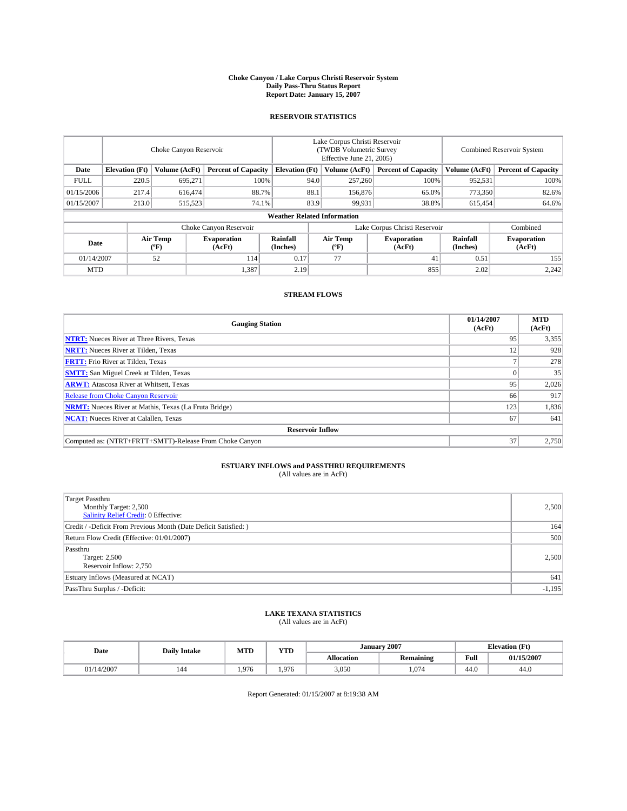#### **Choke Canyon / Lake Corpus Christi Reservoir System Daily Pass-Thru Status Report Report Date: January 15, 2007**

## **RESERVOIR STATISTICS**

|             | Choke Canyon Reservoir             |                  |                              |                       | Lake Corpus Christi Reservoir<br>(TWDB Volumetric Survey<br>Effective June 21, 2005) |                  |                               | Combined Reservoir System |                              |  |
|-------------|------------------------------------|------------------|------------------------------|-----------------------|--------------------------------------------------------------------------------------|------------------|-------------------------------|---------------------------|------------------------------|--|
| Date        | <b>Elevation</b> (Ft)              | Volume (AcFt)    | <b>Percent of Capacity</b>   | <b>Elevation</b> (Ft) |                                                                                      | Volume (AcFt)    | <b>Percent of Capacity</b>    | Volume (AcFt)             | <b>Percent of Capacity</b>   |  |
| <b>FULL</b> | 220.5                              | 695.271          | 100%                         |                       | 94.0                                                                                 | 257,260          | 100%                          | 952,531                   | 100%                         |  |
| 01/15/2006  | 217.4                              | 616,474          | 88.7%                        |                       | 88.1                                                                                 | 156,876          | 65.0%                         | 773,350                   | 82.6%                        |  |
| 01/15/2007  | 213.0                              | 515,523          | 74.1%                        |                       | 83.9                                                                                 | 99,931           | 38.8%                         | 615,454                   | 64.6%                        |  |
|             | <b>Weather Related Information</b> |                  |                              |                       |                                                                                      |                  |                               |                           |                              |  |
|             |                                    |                  | Choke Canyon Reservoir       |                       |                                                                                      |                  | Lake Corpus Christi Reservoir |                           | Combined                     |  |
| Date        |                                    | Air Temp<br>(°F) | <b>Evaporation</b><br>(AcFt) | Rainfall<br>(Inches)  |                                                                                      | Air Temp<br>("F) | <b>Evaporation</b><br>(AcFt)  | Rainfall<br>(Inches)      | <b>Evaporation</b><br>(AcFt) |  |
| 01/14/2007  |                                    | 52               | 114                          | 0.17                  |                                                                                      | 77               | 41                            | 0.51                      | 155                          |  |
| <b>MTD</b>  |                                    |                  | 1,387                        | 2.19                  |                                                                                      |                  | 855                           | 2.02                      | 2,242                        |  |

## **STREAM FLOWS**

| <b>Gauging Station</b>                                       | 01/14/2007<br>(AcFt) | <b>MTD</b><br>(AcFt) |
|--------------------------------------------------------------|----------------------|----------------------|
| <b>NTRT:</b> Nueces River at Three Rivers, Texas             | 95                   | 3,355                |
| <b>NRTT:</b> Nueces River at Tilden, Texas                   | 12                   | 928                  |
| <b>FRTT:</b> Frio River at Tilden, Texas                     |                      | 278                  |
| <b>SMTT:</b> San Miguel Creek at Tilden, Texas               |                      | 35                   |
| <b>ARWT:</b> Atascosa River at Whitsett, Texas               | 95                   | 2,026                |
| <b>Release from Choke Canyon Reservoir</b>                   | 66                   | 917                  |
| <b>NRMT:</b> Nueces River at Mathis, Texas (La Fruta Bridge) | 123                  | 1,836                |
| <b>NCAT:</b> Nueces River at Calallen, Texas                 | 67                   | 641                  |
| <b>Reservoir Inflow</b>                                      |                      |                      |
| Computed as: (NTRT+FRTT+SMTT)-Release From Choke Canyon      | 37                   | 2,750                |

## **ESTUARY INFLOWS and PASSTHRU REQUIREMENTS**<br>(All values are in AcFt)

| <b>Target Passthru</b><br>Monthly Target: 2,500<br>Salinity Relief Credit: 0 Effective: | 2,500    |
|-----------------------------------------------------------------------------------------|----------|
| Credit / -Deficit From Previous Month (Date Deficit Satisfied: )                        | 164      |
| Return Flow Credit (Effective: 01/01/2007)                                              | 500      |
| Passthru<br>Target: 2,500<br>Reservoir Inflow: 2.750                                    | 2.500    |
| Estuary Inflows (Measured at NCAT)                                                      | 641      |
| PassThru Surplus / -Deficit:                                                            | $-1,195$ |

# **LAKE TEXANA STATISTICS** (All values are in AcFt)

| Date       | <b>Daily Intake</b> | <b>MTD</b> | YTD   | January    | 12007            | <b>Elevation</b> (Ft)                   |            |
|------------|---------------------|------------|-------|------------|------------------|-----------------------------------------|------------|
|            |                     |            |       | Allocation | <b>Remaining</b> | Full<br>the contract of the contract of | 01/15/2007 |
| 01/14/2007 | 144                 | .976       | 1.976 | 3,050      | 1.074            | 44.0                                    | 44.0       |

Report Generated: 01/15/2007 at 8:19:38 AM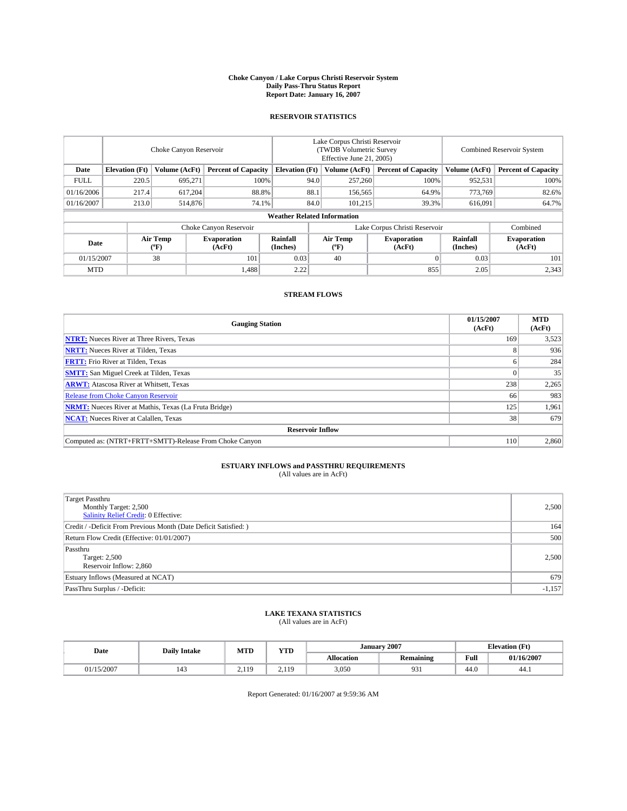#### **Choke Canyon / Lake Corpus Christi Reservoir System Daily Pass-Thru Status Report Report Date: January 16, 2007**

## **RESERVOIR STATISTICS**

|             | Choke Canyon Reservoir             |                  |                              |                       | Lake Corpus Christi Reservoir<br>(TWDB Volumetric Survey<br>Effective June 21, 2005) |                                           |                               |                      | Combined Reservoir System    |  |  |
|-------------|------------------------------------|------------------|------------------------------|-----------------------|--------------------------------------------------------------------------------------|-------------------------------------------|-------------------------------|----------------------|------------------------------|--|--|
| Date        | <b>Elevation</b> (Ft)              | Volume (AcFt)    | <b>Percent of Capacity</b>   | <b>Elevation</b> (Ft) |                                                                                      | Volume (AcFt)                             | <b>Percent of Capacity</b>    | Volume (AcFt)        | <b>Percent of Capacity</b>   |  |  |
| <b>FULL</b> | 220.5                              | 695.271          | 100%                         |                       | 94.0                                                                                 | 257,260                                   | 100%                          | 952,531              | 100%                         |  |  |
| 01/16/2006  | 217.4                              | 617,204          | 88.8%                        |                       | 88.1                                                                                 | 156,565                                   | 64.9%                         | 773,769              | 82.6%                        |  |  |
| 01/16/2007  | 213.0                              | 514,876          | 74.1%                        |                       | 84.0                                                                                 | 101.215                                   | 39.3%                         | 616,091              | 64.7%                        |  |  |
|             | <b>Weather Related Information</b> |                  |                              |                       |                                                                                      |                                           |                               |                      |                              |  |  |
|             |                                    |                  | Choke Canyon Reservoir       |                       |                                                                                      |                                           | Lake Corpus Christi Reservoir |                      | Combined                     |  |  |
| Date        |                                    | Air Temp<br>(°F) | <b>Evaporation</b><br>(AcFt) | Rainfall<br>(Inches)  |                                                                                      | Air Temp<br>$({}^{\mathrm{o}}\mathrm{F})$ | <b>Evaporation</b><br>(AcFt)  | Rainfall<br>(Inches) | <b>Evaporation</b><br>(AcFt) |  |  |
| 01/15/2007  |                                    | 38               | 101                          | 0.03                  |                                                                                      | 40                                        |                               | 0.03                 | 101                          |  |  |
| <b>MTD</b>  |                                    |                  | 1,488                        | 2.22                  |                                                                                      |                                           | 855                           | 2.05                 | 2,343                        |  |  |

## **STREAM FLOWS**

| <b>Gauging Station</b>                                       | 01/15/2007<br>(AcFt) | <b>MTD</b><br>(AcFt) |
|--------------------------------------------------------------|----------------------|----------------------|
| <b>NTRT:</b> Nueces River at Three Rivers, Texas             | 169                  | 3,523                |
| <b>NRTT:</b> Nueces River at Tilden, Texas                   |                      | 936                  |
| <b>FRTT:</b> Frio River at Tilden, Texas                     |                      | 284                  |
| <b>SMTT:</b> San Miguel Creek at Tilden, Texas               |                      | 35                   |
| <b>ARWT:</b> Atascosa River at Whitsett, Texas               | 238                  | 2,265                |
| <b>Release from Choke Canyon Reservoir</b>                   | 66                   | 983                  |
| <b>NRMT:</b> Nueces River at Mathis, Texas (La Fruta Bridge) | 125                  | 1,961                |
| <b>NCAT:</b> Nueces River at Calallen, Texas                 | 38                   | 679                  |
| <b>Reservoir Inflow</b>                                      |                      |                      |
| Computed as: (NTRT+FRTT+SMTT)-Release From Choke Canyon      | 110                  | 2,860                |

## **ESTUARY INFLOWS and PASSTHRU REQUIREMENTS**<br>(All values are in AcFt)

| <b>Target Passthru</b><br>Monthly Target: 2,500<br><b>Salinity Relief Credit: 0 Effective:</b> | 2,500    |
|------------------------------------------------------------------------------------------------|----------|
| Credit / -Deficit From Previous Month (Date Deficit Satisfied: )                               | 164      |
| Return Flow Credit (Effective: 01/01/2007)                                                     | 500      |
| Passthru<br>Target: 2,500<br>Reservoir Inflow: 2,860                                           | 2,500    |
| Estuary Inflows (Measured at NCAT)                                                             | 679      |
| PassThru Surplus / -Deficit:                                                                   | $-1,157$ |

# **LAKE TEXANA STATISTICS** (All values are in AcFt)

| Date       | <b>Daily Intake</b> |                 | <b>YTD</b>       |            | January 2007      | <b>Elevation</b> (Ft)                   |            |
|------------|---------------------|-----------------|------------------|------------|-------------------|-----------------------------------------|------------|
|            |                     | <b>MTD</b>      |                  | Allocation | <b>Remaining</b>  | Full<br>the contract of the contract of | 01/16/2007 |
| 01/15/2007 | 143                 | 110<br><u>.</u> | . 1 O<br>--<br>. | 3,050      | $^{\circ}$<br>,,, | 44.0                                    | 44.1       |

Report Generated: 01/16/2007 at 9:59:36 AM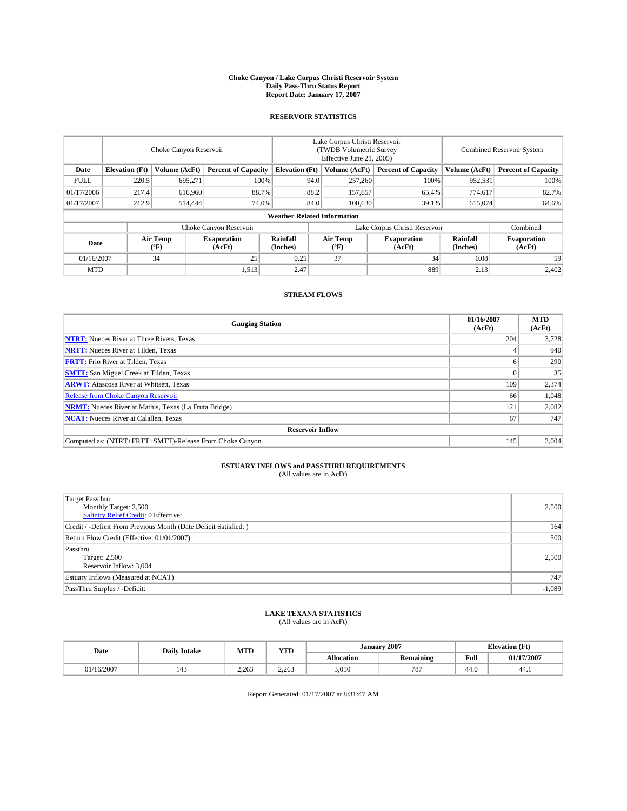#### **Choke Canyon / Lake Corpus Christi Reservoir System Daily Pass-Thru Status Report Report Date: January 17, 2007**

## **RESERVOIR STATISTICS**

|             | Choke Canyon Reservoir             |                  |                              |                       | Lake Corpus Christi Reservoir<br>(TWDB Volumetric Survey<br>Effective June 21, 2005) |                  |                               | <b>Combined Reservoir System</b> |                              |  |
|-------------|------------------------------------|------------------|------------------------------|-----------------------|--------------------------------------------------------------------------------------|------------------|-------------------------------|----------------------------------|------------------------------|--|
| Date        | <b>Elevation</b> (Ft)              | Volume (AcFt)    | <b>Percent of Capacity</b>   | <b>Elevation</b> (Ft) |                                                                                      | Volume (AcFt)    | <b>Percent of Capacity</b>    | Volume (AcFt)                    | <b>Percent of Capacity</b>   |  |
| <b>FULL</b> | 220.5                              | 695.271          | 100%                         |                       | 94.0                                                                                 | 257,260          | 100%                          | 952,531                          | 100%                         |  |
| 01/17/2006  | 217.4                              | 616,960          | 88.7%                        |                       | 88.2                                                                                 | 157,657          | 65.4%                         | 774.617                          | 82.7%                        |  |
| 01/17/2007  | 212.9                              | 514,444          | 74.0%                        |                       | 84.0                                                                                 | 100,630          | 39.1%                         | 615,074                          | 64.6%                        |  |
|             | <b>Weather Related Information</b> |                  |                              |                       |                                                                                      |                  |                               |                                  |                              |  |
|             |                                    |                  | Choke Canyon Reservoir       |                       |                                                                                      |                  | Lake Corpus Christi Reservoir |                                  | Combined                     |  |
| Date        |                                    | Air Temp<br>(°F) | <b>Evaporation</b><br>(AcFt) | Rainfall<br>(Inches)  |                                                                                      | Air Temp<br>("F) | <b>Evaporation</b><br>(AcFt)  | Rainfall<br>(Inches)             | <b>Evaporation</b><br>(AcFt) |  |
| 01/16/2007  |                                    | 34               | 25                           | 0.25                  |                                                                                      | 37               | 34                            | 0.08                             | 59                           |  |
| <b>MTD</b>  |                                    |                  | 1,513                        | 2.47                  |                                                                                      |                  | 889                           | 2.13                             | 2,402                        |  |

## **STREAM FLOWS**

| <b>Gauging Station</b>                                       | 01/16/2007<br>(AcFt) | <b>MTD</b><br>(AcFt) |
|--------------------------------------------------------------|----------------------|----------------------|
| <b>NTRT:</b> Nueces River at Three Rivers, Texas             | 204                  | 3,728                |
| <b>NRTT:</b> Nueces River at Tilden, Texas                   |                      | 940                  |
| <b>FRTT:</b> Frio River at Tilden, Texas                     |                      | 290                  |
| <b>SMTT:</b> San Miguel Creek at Tilden, Texas               |                      | 35                   |
| <b>ARWT:</b> Atascosa River at Whitsett, Texas               | 109                  | 2,374                |
| <b>Release from Choke Canyon Reservoir</b>                   | 66                   | 1,048                |
| <b>NRMT:</b> Nueces River at Mathis, Texas (La Fruta Bridge) | 121                  | 2,082                |
| <b>NCAT:</b> Nueces River at Calallen, Texas                 | 67                   | 747                  |
| <b>Reservoir Inflow</b>                                      |                      |                      |
| Computed as: (NTRT+FRTT+SMTT)-Release From Choke Canyon      | 145                  | 3,004                |

## **ESTUARY INFLOWS and PASSTHRU REQUIREMENTS**<br>(All values are in AcFt)

| <b>Target Passthru</b><br>Monthly Target: 2,500<br>Salinity Relief Credit: 0 Effective: | 2,500    |
|-----------------------------------------------------------------------------------------|----------|
| Credit / -Deficit From Previous Month (Date Deficit Satisfied: )                        | 164      |
| Return Flow Credit (Effective: 01/01/2007)                                              | 500      |
| Passthru<br>Target: 2,500<br>Reservoir Inflow: 3,004                                    | 2.500    |
| Estuary Inflows (Measured at NCAT)                                                      | 747      |
| PassThru Surplus / -Deficit:                                                            | $-1,089$ |

# **LAKE TEXANA STATISTICS** (All values are in AcFt)

| Date       | <b>Daily Intake</b> |       | <b>YTD</b> |            | <b>January 2007</b> | <b>Elevation</b> (Ft)                   |            |
|------------|---------------------|-------|------------|------------|---------------------|-----------------------------------------|------------|
|            |                     | MTD   |            | Allocation | <b>Remaining</b>    | Full<br>the contract of the contract of | 01/17/2007 |
| 01/16/2007 | 143                 | 2.263 | 2.263      | 3,050      | 787                 | 44.0                                    | 44.1       |

Report Generated: 01/17/2007 at 8:31:47 AM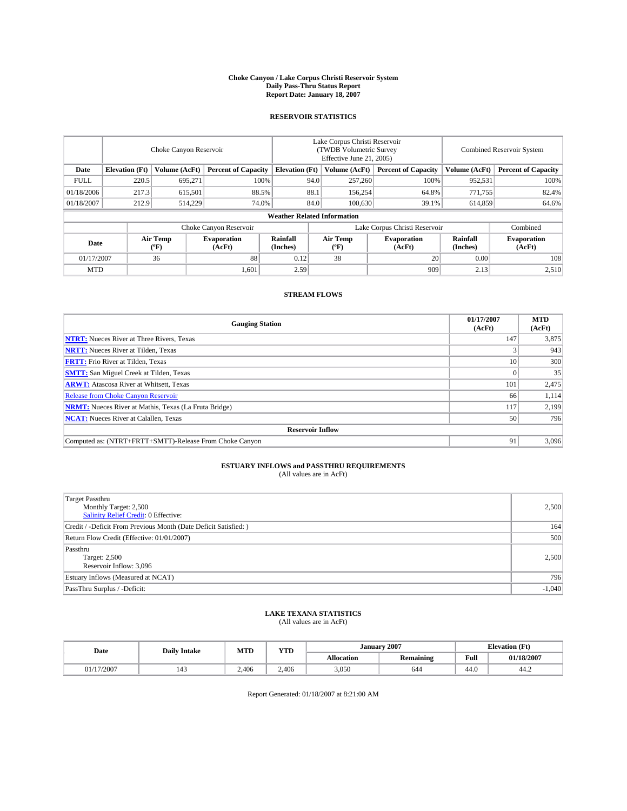#### **Choke Canyon / Lake Corpus Christi Reservoir System Daily Pass-Thru Status Report Report Date: January 18, 2007**

## **RESERVOIR STATISTICS**

|             | Choke Canyon Reservoir             |                  |                              |                       | Lake Corpus Christi Reservoir<br>(TWDB Volumetric Survey<br>Effective June 21, 2005) |                  |                               | <b>Combined Reservoir System</b> |                              |  |
|-------------|------------------------------------|------------------|------------------------------|-----------------------|--------------------------------------------------------------------------------------|------------------|-------------------------------|----------------------------------|------------------------------|--|
| Date        | <b>Elevation</b> (Ft)              | Volume (AcFt)    | <b>Percent of Capacity</b>   | <b>Elevation</b> (Ft) |                                                                                      | Volume (AcFt)    | <b>Percent of Capacity</b>    | Volume (AcFt)                    | <b>Percent of Capacity</b>   |  |
| <b>FULL</b> | 220.5                              | 695.271          |                              | 100%                  | 94.0                                                                                 | 257,260          | 100%                          | 952,531                          | 100%                         |  |
| 01/18/2006  | 217.3                              | 615,501          | 88.5%                        |                       | 88.1                                                                                 | 156,254          | 64.8%                         | 771,755                          | 82.4%                        |  |
| 01/18/2007  | 212.9                              | 514,229          | 74.0%                        |                       | 84.0                                                                                 | 100,630          | 39.1%                         | 614,859                          | 64.6%                        |  |
|             | <b>Weather Related Information</b> |                  |                              |                       |                                                                                      |                  |                               |                                  |                              |  |
|             |                                    |                  | Choke Canyon Reservoir       |                       |                                                                                      |                  | Lake Corpus Christi Reservoir |                                  | Combined                     |  |
| Date        |                                    | Air Temp<br>(°F) | <b>Evaporation</b><br>(AcFt) | Rainfall<br>(Inches)  |                                                                                      | Air Temp<br>("F) | <b>Evaporation</b><br>(AcFt)  | Rainfall<br>(Inches)             | <b>Evaporation</b><br>(AcFt) |  |
| 01/17/2007  |                                    | 36               | 88                           | 0.12                  |                                                                                      | 38               | 20                            | 0.00                             | 108                          |  |
| <b>MTD</b>  |                                    |                  | 1,601                        | 2.59                  |                                                                                      |                  | 909                           | 2.13                             | 2,510                        |  |

## **STREAM FLOWS**

| <b>Gauging Station</b>                                       | 01/17/2007<br>(AcFt) | <b>MTD</b><br>(AcFt) |
|--------------------------------------------------------------|----------------------|----------------------|
| <b>NTRT:</b> Nueces River at Three Rivers, Texas             | 147                  | 3,875                |
| <b>NRTT:</b> Nueces River at Tilden, Texas                   |                      | 943                  |
| <b>FRTT:</b> Frio River at Tilden, Texas                     | 10                   | 300                  |
| <b>SMTT:</b> San Miguel Creek at Tilden, Texas               |                      | 35                   |
| <b>ARWT:</b> Atascosa River at Whitsett, Texas               | 101                  | 2,475                |
| <b>Release from Choke Canyon Reservoir</b>                   | 66                   | 1,114                |
| <b>NRMT:</b> Nueces River at Mathis, Texas (La Fruta Bridge) | 117                  | 2.199                |
| <b>NCAT:</b> Nueces River at Calallen, Texas                 | 50                   | 796                  |
| <b>Reservoir Inflow</b>                                      |                      |                      |
| Computed as: (NTRT+FRTT+SMTT)-Release From Choke Canyon      | 91                   | 3,096                |

## **ESTUARY INFLOWS and PASSTHRU REQUIREMENTS**<br>(All values are in AcFt)

| <b>Target Passthru</b><br>Monthly Target: 2,500<br>Salinity Relief Credit: 0 Effective: | 2,500    |
|-----------------------------------------------------------------------------------------|----------|
| Credit / -Deficit From Previous Month (Date Deficit Satisfied: )                        | 164      |
| Return Flow Credit (Effective: 01/01/2007)                                              | 500      |
| Passthru<br>Target: 2,500<br>Reservoir Inflow: 3,096                                    | 2.500    |
| Estuary Inflows (Measured at NCAT)                                                      | 796      |
| PassThru Surplus / -Deficit:                                                            | $-1,040$ |

# **LAKE TEXANA STATISTICS** (All values are in AcFt)

| Date       | <b>Daily Intake</b> | MTD   | <b>YTD</b> | January           | 2007      | <b>Elevation</b> (Ft) |            |
|------------|---------------------|-------|------------|-------------------|-----------|-----------------------|------------|
|            |                     |       |            | <b>Allocation</b> | Remaining | Full                  | 01/18/2007 |
| 01/17/2007 | 143                 | 2.406 | 2.406      | 3,050             | 644       | 44.0                  | 44.2       |

Report Generated: 01/18/2007 at 8:21:00 AM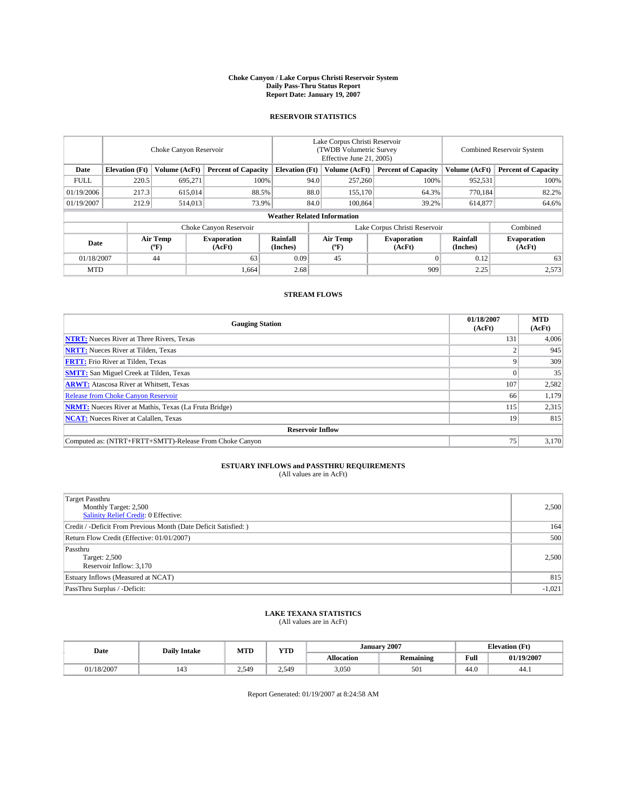#### **Choke Canyon / Lake Corpus Christi Reservoir System Daily Pass-Thru Status Report Report Date: January 19, 2007**

## **RESERVOIR STATISTICS**

|             | Choke Canyon Reservoir             |                  |                              |                       | Lake Corpus Christi Reservoir<br>(TWDB Volumetric Survey<br>Effective June 21, 2005) |                  |                               |                      | <b>Combined Reservoir System</b> |  |  |
|-------------|------------------------------------|------------------|------------------------------|-----------------------|--------------------------------------------------------------------------------------|------------------|-------------------------------|----------------------|----------------------------------|--|--|
| Date        | <b>Elevation</b> (Ft)              | Volume (AcFt)    | <b>Percent of Capacity</b>   | <b>Elevation</b> (Ft) |                                                                                      | Volume (AcFt)    | <b>Percent of Capacity</b>    | Volume (AcFt)        | <b>Percent of Capacity</b>       |  |  |
| <b>FULL</b> | 220.5                              | 695.271          |                              | 100%                  | 94.0                                                                                 | 257,260          | 100%                          | 952,531              | 100%                             |  |  |
| 01/19/2006  | 217.3                              | 615,014          | 88.5%                        |                       | 88.0                                                                                 | 155,170          | 64.3%                         | 770.184              | 82.2%                            |  |  |
| 01/19/2007  | 212.9                              | 514,013          | 73.9%                        |                       | 84.0                                                                                 | 100,864          | 39.2%                         | 614,877              | 64.6%                            |  |  |
|             | <b>Weather Related Information</b> |                  |                              |                       |                                                                                      |                  |                               |                      |                                  |  |  |
|             |                                    |                  | Choke Canyon Reservoir       |                       |                                                                                      |                  | Lake Corpus Christi Reservoir |                      | Combined                         |  |  |
| Date        |                                    | Air Temp<br>(°F) | <b>Evaporation</b><br>(AcFt) | Rainfall<br>(Inches)  |                                                                                      | Air Temp<br>("F) | <b>Evaporation</b><br>(AcFt)  | Rainfall<br>(Inches) | <b>Evaporation</b><br>(AcFt)     |  |  |
| 01/18/2007  |                                    | 44               | 63                           | 0.09                  |                                                                                      | 45               | 01                            | 0.12                 | 63                               |  |  |
| <b>MTD</b>  |                                    |                  | 1,664                        | 2.68                  |                                                                                      |                  | 909                           | 2.25                 | 2,573                            |  |  |

## **STREAM FLOWS**

| <b>Gauging Station</b>                                       | 01/18/2007<br>(AcFt) | <b>MTD</b><br>(AcFt) |  |  |  |  |  |
|--------------------------------------------------------------|----------------------|----------------------|--|--|--|--|--|
| <b>NTRT:</b> Nueces River at Three Rivers, Texas             | 131                  | 4,006                |  |  |  |  |  |
| <b>NRTT:</b> Nueces River at Tilden, Texas                   |                      | 945                  |  |  |  |  |  |
| <b>FRTT:</b> Frio River at Tilden, Texas                     |                      | 309                  |  |  |  |  |  |
| <b>SMTT:</b> San Miguel Creek at Tilden, Texas               |                      | 35                   |  |  |  |  |  |
| <b>ARWT:</b> Atascosa River at Whitsett, Texas               | 107                  | 2,582                |  |  |  |  |  |
| <b>Release from Choke Canyon Reservoir</b>                   | 66                   | 1,179                |  |  |  |  |  |
| <b>NRMT:</b> Nueces River at Mathis, Texas (La Fruta Bridge) | 115                  | 2,315                |  |  |  |  |  |
| <b>NCAT:</b> Nueces River at Calallen, Texas                 | 19                   | 815                  |  |  |  |  |  |
| <b>Reservoir Inflow</b>                                      |                      |                      |  |  |  |  |  |
| Computed as: (NTRT+FRTT+SMTT)-Release From Choke Canyon      | 75                   | 3,170                |  |  |  |  |  |

## **ESTUARY INFLOWS and PASSTHRU REQUIREMENTS**<br>(All values are in AcFt)

| <b>Target Passthru</b><br>Monthly Target: 2,500<br><b>Salinity Relief Credit: 0 Effective:</b> | 2,500    |
|------------------------------------------------------------------------------------------------|----------|
| Credit / -Deficit From Previous Month (Date Deficit Satisfied: )                               | 164      |
| Return Flow Credit (Effective: 01/01/2007)                                                     | 500      |
| Passthru<br>Target: 2,500<br>Reservoir Inflow: 3,170                                           | 2,500    |
| Estuary Inflows (Measured at NCAT)                                                             | 815      |
| PassThru Surplus / -Deficit:                                                                   | $-1,021$ |

# **LAKE TEXANA STATISTICS** (All values are in AcFt)

| Date       | <b>Daily Intake</b> | MTD             | YTD   |            | January 2007     |                                         | <b>Elevation</b> (Ft) |
|------------|---------------------|-----------------|-------|------------|------------------|-----------------------------------------|-----------------------|
|            |                     |                 |       | Allocation | <b>Remaining</b> | Full<br>the contract of the contract of | 01/19/2007            |
| 01/18/2007 | 143                 | 549<br><u>_</u> | 2.549 | 3,050      | σΛ<br><b>JUI</b> | 44.0                                    | 44.1                  |

Report Generated: 01/19/2007 at 8:24:58 AM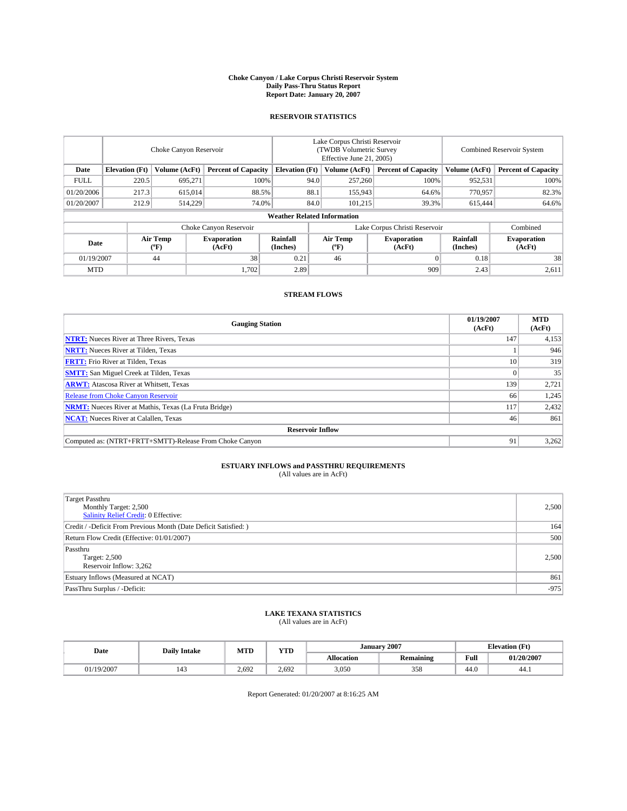#### **Choke Canyon / Lake Corpus Christi Reservoir System Daily Pass-Thru Status Report Report Date: January 20, 2007**

## **RESERVOIR STATISTICS**

|             | Choke Canyon Reservoir             |                  |                              |                       | Lake Corpus Christi Reservoir<br>(TWDB Volumetric Survey<br>Effective June 21, 2005) |                  |                               |                      | <b>Combined Reservoir System</b> |  |  |
|-------------|------------------------------------|------------------|------------------------------|-----------------------|--------------------------------------------------------------------------------------|------------------|-------------------------------|----------------------|----------------------------------|--|--|
| Date        | <b>Elevation</b> (Ft)              | Volume (AcFt)    | <b>Percent of Capacity</b>   | <b>Elevation</b> (Ft) |                                                                                      | Volume (AcFt)    | <b>Percent of Capacity</b>    | Volume (AcFt)        | <b>Percent of Capacity</b>       |  |  |
| <b>FULL</b> | 220.5                              | 695.271          | 100%                         |                       | 94.0                                                                                 | 257,260          | 100%                          | 952,531              | 100%                             |  |  |
| 01/20/2006  | 217.3                              | 615,014          | 88.5%                        |                       | 88.1                                                                                 | 155,943          | 64.6%                         | 770,957              | 82.3%                            |  |  |
| 01/20/2007  | 212.9                              | 514,229          | 74.0%                        |                       | 84.0                                                                                 | 101,215          | 39.3%                         | 615,444              | 64.6%                            |  |  |
|             | <b>Weather Related Information</b> |                  |                              |                       |                                                                                      |                  |                               |                      |                                  |  |  |
|             |                                    |                  | Choke Canyon Reservoir       |                       |                                                                                      |                  | Lake Corpus Christi Reservoir |                      | Combined                         |  |  |
| Date        |                                    | Air Temp<br>(°F) | <b>Evaporation</b><br>(AcFt) | Rainfall<br>(Inches)  |                                                                                      | Air Temp<br>("F) | <b>Evaporation</b><br>(AcFt)  | Rainfall<br>(Inches) | <b>Evaporation</b><br>(AcFt)     |  |  |
| 01/19/2007  |                                    | 44               | 38                           | 0.21                  |                                                                                      | 46               | $\Omega$                      | 0.18                 | 38                               |  |  |
| <b>MTD</b>  |                                    |                  | 1,702                        | 2.89                  |                                                                                      |                  | 909                           | 2.43                 | 2,611                            |  |  |

## **STREAM FLOWS**

| <b>Gauging Station</b>                                       | 01/19/2007<br>(AcFt) | <b>MTD</b><br>(AcFt) |  |  |  |  |
|--------------------------------------------------------------|----------------------|----------------------|--|--|--|--|
| <b>NTRT:</b> Nueces River at Three Rivers, Texas             | 147                  | 4,153                |  |  |  |  |
| <b>NRTT:</b> Nueces River at Tilden, Texas                   |                      | 946                  |  |  |  |  |
| <b>FRTT:</b> Frio River at Tilden, Texas                     | 10                   | 319                  |  |  |  |  |
| <b>SMTT:</b> San Miguel Creek at Tilden, Texas               |                      | 35                   |  |  |  |  |
| <b>ARWT:</b> Atascosa River at Whitsett, Texas               | 139                  | 2,721                |  |  |  |  |
| <b>Release from Choke Canyon Reservoir</b>                   | 66                   | 1,245                |  |  |  |  |
| <b>NRMT:</b> Nueces River at Mathis, Texas (La Fruta Bridge) | 117                  | 2,432                |  |  |  |  |
| <b>NCAT:</b> Nueces River at Calallen, Texas                 | 46                   | 861                  |  |  |  |  |
| <b>Reservoir Inflow</b>                                      |                      |                      |  |  |  |  |
| Computed as: (NTRT+FRTT+SMTT)-Release From Choke Canyon      | 91                   | 3,262                |  |  |  |  |

## **ESTUARY INFLOWS and PASSTHRU REQUIREMENTS**<br>(All values are in AcFt)

| <b>Target Passthru</b><br>Monthly Target: 2,500<br><b>Salinity Relief Credit: 0 Effective:</b> | 2,500  |
|------------------------------------------------------------------------------------------------|--------|
| Credit / -Deficit From Previous Month (Date Deficit Satisfied: )                               | 164    |
| Return Flow Credit (Effective: 01/01/2007)                                                     | 500    |
| Passthru<br>Target: 2,500<br>Reservoir Inflow: 3,262                                           | 2,500  |
| Estuary Inflows (Measured at NCAT)                                                             | 861    |
| PassThru Surplus / -Deficit:                                                                   | $-975$ |

# **LAKE TEXANA STATISTICS** (All values are in AcFt)

| Date       | MTD<br><b>Daily Intake</b> |       | YTD   | <b>January 2007</b> |                  |      | <b>Elevation</b> (Ft) |  |
|------------|----------------------------|-------|-------|---------------------|------------------|------|-----------------------|--|
|            |                            |       |       | Allocation          | <b>Remaining</b> | Full | 01/20/2007            |  |
| 01/19/2007 | 143                        | 2.692 | 2.692 | 3,050               | 358              | 44.0 | 44.1                  |  |

Report Generated: 01/20/2007 at 8:16:25 AM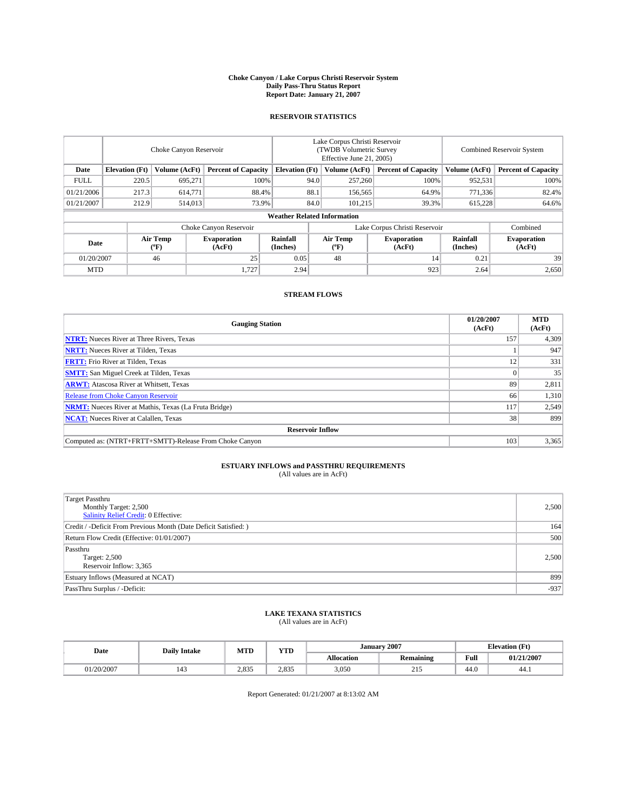#### **Choke Canyon / Lake Corpus Christi Reservoir System Daily Pass-Thru Status Report Report Date: January 21, 2007**

## **RESERVOIR STATISTICS**

|             | Choke Canyon Reservoir             |                  |                              |                       | Lake Corpus Christi Reservoir<br>(TWDB Volumetric Survey<br>Effective June 21, 2005) |                  |                               | <b>Combined Reservoir System</b> |                              |  |
|-------------|------------------------------------|------------------|------------------------------|-----------------------|--------------------------------------------------------------------------------------|------------------|-------------------------------|----------------------------------|------------------------------|--|
| Date        | <b>Elevation</b> (Ft)              | Volume (AcFt)    | <b>Percent of Capacity</b>   | <b>Elevation</b> (Ft) |                                                                                      | Volume (AcFt)    | <b>Percent of Capacity</b>    | Volume (AcFt)                    | <b>Percent of Capacity</b>   |  |
| <b>FULL</b> | 220.5                              | 695.271          | 100%                         |                       | 94.0                                                                                 | 257,260          | 100%                          | 952,531                          | 100%                         |  |
| 01/21/2006  | 217.3                              | 614,771          | 88.4%                        |                       | 88.1                                                                                 | 156,565          | 64.9%                         | 771,336                          | 82.4%                        |  |
| 01/21/2007  | 212.9                              | 514,013          | 73.9%                        |                       | 84.0                                                                                 | 101,215          | 39.3%                         | 615,228                          | 64.6%                        |  |
|             | <b>Weather Related Information</b> |                  |                              |                       |                                                                                      |                  |                               |                                  |                              |  |
|             |                                    |                  | Choke Canyon Reservoir       |                       |                                                                                      |                  | Lake Corpus Christi Reservoir |                                  | Combined                     |  |
| Date        |                                    | Air Temp<br>(°F) | <b>Evaporation</b><br>(AcFt) | Rainfall<br>(Inches)  |                                                                                      | Air Temp<br>("F) | <b>Evaporation</b><br>(AcFt)  | Rainfall<br>(Inches)             | <b>Evaporation</b><br>(AcFt) |  |
| 01/20/2007  |                                    | 46               | 25                           | 0.05                  |                                                                                      | 48               | 14                            | 0.21                             | 39                           |  |
| <b>MTD</b>  |                                    |                  | 1,727                        | 2.94                  |                                                                                      |                  | 923                           | 2.64                             | 2,650                        |  |

## **STREAM FLOWS**

| <b>Gauging Station</b>                                       | 01/20/2007<br>(AcFt) | <b>MTD</b><br>(AcFt) |  |  |  |  |
|--------------------------------------------------------------|----------------------|----------------------|--|--|--|--|
| <b>NTRT:</b> Nueces River at Three Rivers, Texas             | 157                  | 4,309                |  |  |  |  |
| <b>NRTT:</b> Nueces River at Tilden, Texas                   |                      | 947                  |  |  |  |  |
| <b>FRTT:</b> Frio River at Tilden, Texas                     | 12                   | 331                  |  |  |  |  |
| <b>SMTT:</b> San Miguel Creek at Tilden, Texas               |                      | 35                   |  |  |  |  |
| <b>ARWT:</b> Atascosa River at Whitsett, Texas               | 89                   | 2,811                |  |  |  |  |
| <b>Release from Choke Canyon Reservoir</b>                   | 66                   | 1,310                |  |  |  |  |
| <b>NRMT:</b> Nueces River at Mathis, Texas (La Fruta Bridge) | 117                  | 2,549                |  |  |  |  |
| <b>NCAT:</b> Nueces River at Calallen, Texas                 | 38                   | 899                  |  |  |  |  |
| <b>Reservoir Inflow</b>                                      |                      |                      |  |  |  |  |
| Computed as: (NTRT+FRTT+SMTT)-Release From Choke Canyon      | 103                  | 3,365                |  |  |  |  |

## **ESTUARY INFLOWS and PASSTHRU REQUIREMENTS**<br>(All values are in AcFt)

| <b>Target Passthru</b><br>Monthly Target: 2,500<br>Salinity Relief Credit: 0 Effective: | 2,500  |
|-----------------------------------------------------------------------------------------|--------|
| Credit / -Deficit From Previous Month (Date Deficit Satisfied: )                        | 164    |
| Return Flow Credit (Effective: 01/01/2007)                                              | 500    |
| Passthru<br>Target: 2,500<br>Reservoir Inflow: 3,365                                    | 2.500  |
| Estuary Inflows (Measured at NCAT)                                                      | 899    |
| PassThru Surplus / -Deficit:                                                            | $-937$ |

# **LAKE TEXANA STATISTICS** (All values are in AcFt)

| Date       | <b>Daily Intake</b> | <b>MTD</b>     | YTD   |            | January 2007     |                                         | <b>Elevation</b> (Ft) |
|------------|---------------------|----------------|-------|------------|------------------|-----------------------------------------|-----------------------|
|            |                     |                |       | Allocation | <b>Remaining</b> | Full<br>the contract of the contract of | 01/21/2007            |
| 01/20/2007 | 143                 | 20025<br>2.833 | 2.835 | 3,050      | $21-$            | 44.0                                    | 44.1                  |

Report Generated: 01/21/2007 at 8:13:02 AM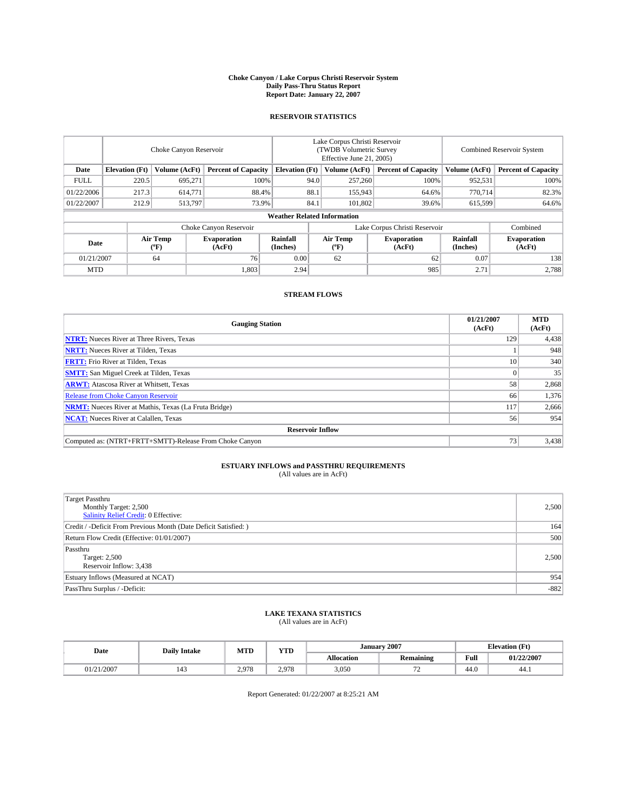#### **Choke Canyon / Lake Corpus Christi Reservoir System Daily Pass-Thru Status Report Report Date: January 22, 2007**

## **RESERVOIR STATISTICS**

|                        | Choke Canyon Reservoir                                               |                         |                              |                      | Lake Corpus Christi Reservoir<br>(TWDB Volumetric Survey<br>Effective June 21, 2005) |                            |                               |                            | Combined Reservoir System    |  |  |  |
|------------------------|----------------------------------------------------------------------|-------------------------|------------------------------|----------------------|--------------------------------------------------------------------------------------|----------------------------|-------------------------------|----------------------------|------------------------------|--|--|--|
| Date                   | <b>Elevation</b> (Ft)<br>Volume (AcFt)<br><b>Percent of Capacity</b> |                         | <b>Elevation</b> (Ft)        |                      | Volume (AcFt)                                                                        | <b>Percent of Capacity</b> | Volume (AcFt)                 | <b>Percent of Capacity</b> |                              |  |  |  |
| <b>FULL</b>            | 220.5                                                                | 695.271                 | 100%                         |                      | 94.0                                                                                 | 257,260                    | 100%                          | 952,531                    | 100%                         |  |  |  |
| 01/22/2006             | 217.3                                                                | 614,771                 | 88.4%                        |                      | 88.1                                                                                 | 155,943                    | 64.6%                         | 770,714                    | 82.3%                        |  |  |  |
| 01/22/2007             | 212.9                                                                | 513,797                 | 73.9%                        |                      | 84.1                                                                                 | 101.802                    | 39.6%                         | 615,599                    | 64.6%                        |  |  |  |
|                        | <b>Weather Related Information</b>                                   |                         |                              |                      |                                                                                      |                            |                               |                            |                              |  |  |  |
| Choke Canyon Reservoir |                                                                      |                         |                              |                      |                                                                                      |                            | Lake Corpus Christi Reservoir |                            | Combined                     |  |  |  |
| Date                   |                                                                      | <b>Air Temp</b><br>(°F) | <b>Evaporation</b><br>(AcFt) | Rainfall<br>(Inches) |                                                                                      | Air Temp<br>("F)           | <b>Evaporation</b><br>(AcFt)  | Rainfall<br>(Inches)       | <b>Evaporation</b><br>(AcFt) |  |  |  |
| 01/21/2007             |                                                                      | 64                      | 76                           | 0.00                 |                                                                                      | 62                         | 62                            | 0.07                       | 138                          |  |  |  |
| <b>MTD</b>             |                                                                      |                         | 1,803                        | 2.94                 |                                                                                      |                            | 985                           | 2.71                       | 2,788                        |  |  |  |

## **STREAM FLOWS**

| <b>Gauging Station</b>                                       | 01/21/2007<br>(AcFt) | <b>MTD</b><br>(AcFt) |
|--------------------------------------------------------------|----------------------|----------------------|
| <b>NTRT:</b> Nueces River at Three Rivers, Texas             | 129                  | 4,438                |
| <b>NRTT:</b> Nueces River at Tilden, Texas                   |                      | 948                  |
| <b>FRTT:</b> Frio River at Tilden, Texas                     | 10                   | 340                  |
| <b>SMTT:</b> San Miguel Creek at Tilden, Texas               |                      | 35                   |
| <b>ARWT:</b> Atascosa River at Whitsett, Texas               | 58                   | 2,868                |
| <b>Release from Choke Canyon Reservoir</b>                   | 66                   | 1,376                |
| <b>NRMT:</b> Nueces River at Mathis, Texas (La Fruta Bridge) | 117                  | 2,666                |
| <b>NCAT:</b> Nueces River at Calallen, Texas                 | 56                   | 954                  |
| <b>Reservoir Inflow</b>                                      |                      |                      |
| Computed as: (NTRT+FRTT+SMTT)-Release From Choke Canyon      | 73                   | 3,438                |

## **ESTUARY INFLOWS and PASSTHRU REQUIREMENTS**<br>(All values are in AcFt)

| <b>Target Passthru</b><br>Monthly Target: 2,500<br><b>Salinity Relief Credit: 0 Effective:</b> | 2,500  |
|------------------------------------------------------------------------------------------------|--------|
| Credit / -Deficit From Previous Month (Date Deficit Satisfied: )                               | 164    |
| Return Flow Credit (Effective: 01/01/2007)                                                     | 500    |
| Passthru<br>Target: 2,500<br>Reservoir Inflow: 3,438                                           | 2,500  |
| Estuary Inflows (Measured at NCAT)                                                             | 954    |
| PassThru Surplus / -Deficit:                                                                   | $-882$ |

### **LAKE TEXANA STATISTICS** (All values are in AcFt)

|  | Date     | <b>Daily Intake</b> | <b>MTD</b> | <b>YTD</b> | <b>January 2007</b> |               |                                         | <b>Elevation</b> (Ft) |
|--|----------|---------------------|------------|------------|---------------------|---------------|-----------------------------------------|-----------------------|
|  |          |                     |            |            | Allocation          | Remaining     | Full<br>the contract of the contract of | 01/22/2007            |
|  | /21/2007 | 143                 | 2.978      | 2.978      | 3,050               | $\sim$<br>. . | 44.0                                    | 44.1                  |

Report Generated: 01/22/2007 at 8:25:21 AM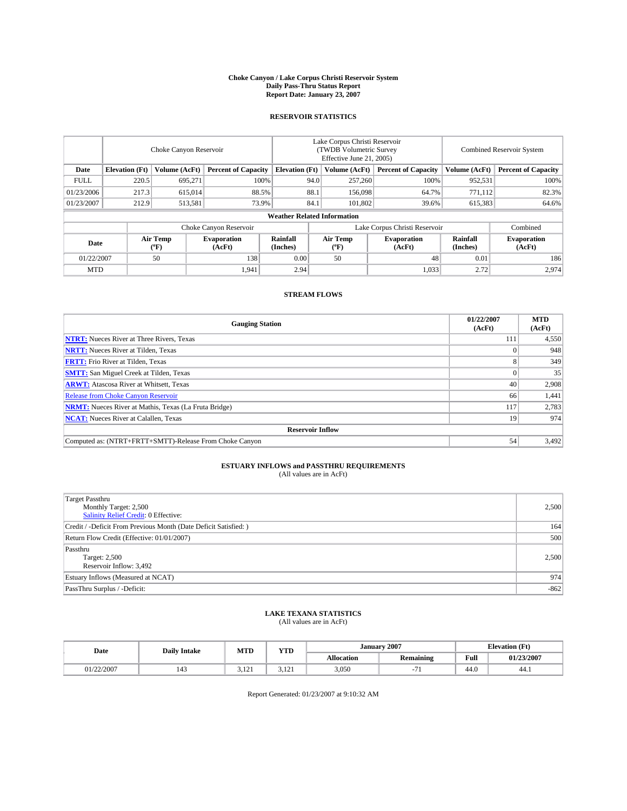#### **Choke Canyon / Lake Corpus Christi Reservoir System Daily Pass-Thru Status Report Report Date: January 23, 2007**

## **RESERVOIR STATISTICS**

|             | Choke Canyon Reservoir                                               |                  |                              |                      | Lake Corpus Christi Reservoir<br>(TWDB Volumetric Survey<br>Effective June 21, 2005) |                            |                               |                            | <b>Combined Reservoir System</b> |  |  |  |
|-------------|----------------------------------------------------------------------|------------------|------------------------------|----------------------|--------------------------------------------------------------------------------------|----------------------------|-------------------------------|----------------------------|----------------------------------|--|--|--|
| Date        | <b>Elevation</b> (Ft)<br>Volume (AcFt)<br><b>Percent of Capacity</b> |                  | <b>Elevation</b> (Ft)        |                      | Volume (AcFt)                                                                        | <b>Percent of Capacity</b> | Volume (AcFt)                 | <b>Percent of Capacity</b> |                                  |  |  |  |
| <b>FULL</b> | 220.5                                                                | 695.271          |                              | 100%                 | 94.0                                                                                 | 257,260                    | 100%                          | 952,531                    | 100%                             |  |  |  |
| 01/23/2006  | 217.3                                                                | 615,014          |                              | 88.5%                | 88.1                                                                                 | 156,098                    | 64.7%                         | 771.112                    | 82.3%                            |  |  |  |
| 01/23/2007  | 212.9                                                                | 513,581          |                              | 73.9%                | 84.1                                                                                 | 101.802                    | 39.6%                         | 615,383                    | 64.6%                            |  |  |  |
|             | <b>Weather Related Information</b>                                   |                  |                              |                      |                                                                                      |                            |                               |                            |                                  |  |  |  |
|             |                                                                      |                  | Choke Canyon Reservoir       |                      |                                                                                      |                            | Lake Corpus Christi Reservoir |                            | Combined                         |  |  |  |
| Date        |                                                                      | Air Temp<br>(°F) | <b>Evaporation</b><br>(AcFt) | Rainfall<br>(Inches) |                                                                                      | Air Temp<br>("F)           | <b>Evaporation</b><br>(AcFt)  | Rainfall<br>(Inches)       | <b>Evaporation</b><br>(AcFt)     |  |  |  |
| 01/22/2007  |                                                                      | 50               | 138                          | 0.00                 |                                                                                      | 50                         | 48                            | 0.01                       | 186                              |  |  |  |
| <b>MTD</b>  |                                                                      |                  | 1,941                        | 2.94                 |                                                                                      |                            | 1,033                         | 2.72                       | 2,974                            |  |  |  |

## **STREAM FLOWS**

| <b>Gauging Station</b>                                       | 01/22/2007<br>(AcFt) | <b>MTD</b><br>(AcFt) |
|--------------------------------------------------------------|----------------------|----------------------|
| <b>NTRT:</b> Nueces River at Three Rivers, Texas             | 111                  | 4,550                |
| <b>NRTT:</b> Nueces River at Tilden, Texas                   |                      | 948                  |
| <b>FRTT:</b> Frio River at Tilden, Texas                     |                      | 349                  |
| <b>SMTT:</b> San Miguel Creek at Tilden, Texas               |                      | 35                   |
| <b>ARWT:</b> Atascosa River at Whitsett, Texas               | 40                   | 2,908                |
| <b>Release from Choke Canyon Reservoir</b>                   | 66                   | 1,441                |
| <b>NRMT:</b> Nueces River at Mathis, Texas (La Fruta Bridge) | 117                  | 2,783                |
| <b>NCAT:</b> Nueces River at Calallen, Texas                 | 19                   | 974                  |
| <b>Reservoir Inflow</b>                                      |                      |                      |
| Computed as: (NTRT+FRTT+SMTT)-Release From Choke Canyon      | 54                   | 3,492                |

## **ESTUARY INFLOWS and PASSTHRU REQUIREMENTS**<br>(All values are in AcFt)

| <b>Target Passthru</b><br>Monthly Target: 2,500<br>Salinity Relief Credit: 0 Effective: | 2,500  |
|-----------------------------------------------------------------------------------------|--------|
| Credit / -Deficit From Previous Month (Date Deficit Satisfied: )                        | 164    |
| Return Flow Credit (Effective: 01/01/2007)                                              | 500    |
| Passthru<br>Target: 2,500<br>Reservoir Inflow: 3,492                                    | 2.500  |
| Estuary Inflows (Measured at NCAT)                                                      | 974    |
| PassThru Surplus / -Deficit:                                                            | $-862$ |

# **LAKE TEXANA STATISTICS** (All values are in AcFt)

| Date       | <b>Daily Intake</b> | <b>MTD</b>      | YTD                  |                   | January 2007     |                                         | <b>Elevation</b> (Ft) |
|------------|---------------------|-----------------|----------------------|-------------------|------------------|-----------------------------------------|-----------------------|
|            |                     |                 |                      | <b>Allocation</b> | <b>Remaining</b> | Full<br>the contract of the contract of | 01/23/2007            |
| 01/22/2007 | 143                 | 101<br>ن سمید ب | $1^{\circ}$<br>7.121 | 3,050             |                  | 44.0                                    | -44.1                 |

Report Generated: 01/23/2007 at 9:10:32 AM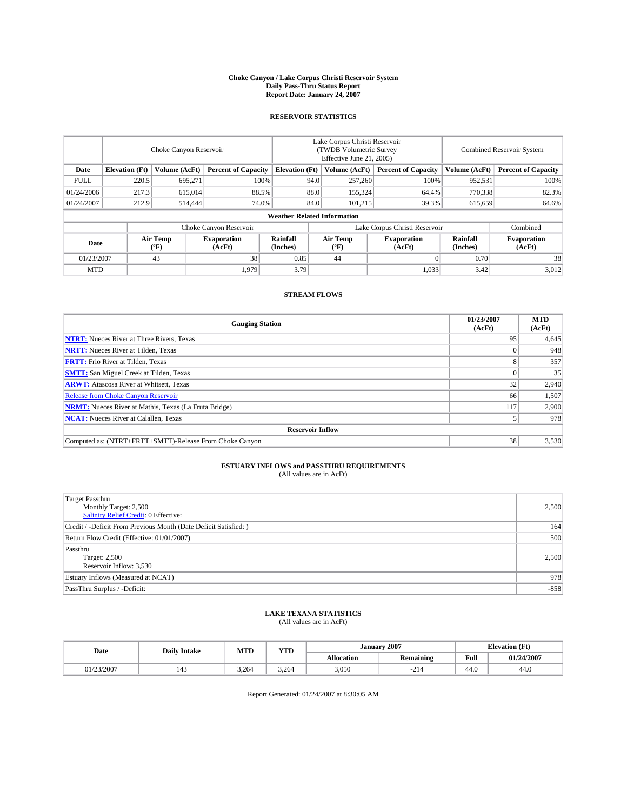#### **Choke Canyon / Lake Corpus Christi Reservoir System Daily Pass-Thru Status Report Report Date: January 24, 2007**

## **RESERVOIR STATISTICS**

|                                                                              | Choke Canyon Reservoir             |                         |                              |                      | Lake Corpus Christi Reservoir<br>(TWDB Volumetric Survey<br>Effective June 21, 2005) |                  |                               |                      | Combined Reservoir System    |  |  |  |
|------------------------------------------------------------------------------|------------------------------------|-------------------------|------------------------------|----------------------|--------------------------------------------------------------------------------------|------------------|-------------------------------|----------------------|------------------------------|--|--|--|
| Date<br><b>Elevation</b> (Ft)<br>Volume (AcFt)<br><b>Percent of Capacity</b> |                                    | <b>Elevation</b> (Ft)   |                              | Volume (AcFt)        | <b>Percent of Capacity</b>                                                           | Volume (AcFt)    | <b>Percent of Capacity</b>    |                      |                              |  |  |  |
| <b>FULL</b>                                                                  | 220.5                              | 695,271                 | 100%                         |                      | 94.0                                                                                 | 257,260          | 100%                          | 952,531              | 100%                         |  |  |  |
| 01/24/2006                                                                   | 217.3                              | 615,014                 | 88.5%                        |                      | 88.0                                                                                 | 155,324          | 64.4%                         | 770,338              | 82.3%                        |  |  |  |
| 01/24/2007                                                                   | 212.9                              | 514,444                 | 74.0%                        |                      | 84.0                                                                                 | 101,215          | 39.3%                         | 615,659              | 64.6%                        |  |  |  |
|                                                                              | <b>Weather Related Information</b> |                         |                              |                      |                                                                                      |                  |                               |                      |                              |  |  |  |
|                                                                              |                                    |                         | Choke Canyon Reservoir       |                      |                                                                                      |                  | Lake Corpus Christi Reservoir |                      | Combined                     |  |  |  |
| Date                                                                         |                                    | <b>Air Temp</b><br>(°F) | <b>Evaporation</b><br>(AcFt) | Rainfall<br>(Inches) |                                                                                      | Air Temp<br>("F) | <b>Evaporation</b><br>(AcFt)  | Rainfall<br>(Inches) | <b>Evaporation</b><br>(AcFt) |  |  |  |
| 01/23/2007                                                                   |                                    | 43                      | 38                           | 0.85                 |                                                                                      | 44               |                               | 0.70                 | 38                           |  |  |  |
| <b>MTD</b>                                                                   |                                    |                         | 1,979                        | 3.79                 |                                                                                      |                  | 1,033                         | 3.42                 | 3,012                        |  |  |  |

## **STREAM FLOWS**

| <b>Gauging Station</b>                                       | 01/23/2007<br>(AcFt) | <b>MTD</b><br>(AcFt) |
|--------------------------------------------------------------|----------------------|----------------------|
| <b>NTRT:</b> Nueces River at Three Rivers, Texas             | 95                   | 4,645                |
| <b>NRTT:</b> Nueces River at Tilden, Texas                   |                      | 948                  |
| <b>FRTT:</b> Frio River at Tilden, Texas                     |                      | 357                  |
| <b>SMTT:</b> San Miguel Creek at Tilden, Texas               |                      | 35                   |
| <b>ARWT:</b> Atascosa River at Whitsett, Texas               | 32                   | 2,940                |
| <b>Release from Choke Canyon Reservoir</b>                   | 66                   | 1,507                |
| <b>NRMT:</b> Nueces River at Mathis, Texas (La Fruta Bridge) | 117                  | 2,900                |
| <b>NCAT:</b> Nueces River at Calallen, Texas                 |                      | 978                  |
| <b>Reservoir Inflow</b>                                      |                      |                      |
| Computed as: (NTRT+FRTT+SMTT)-Release From Choke Canyon      | 38                   | 3,530                |

## **ESTUARY INFLOWS and PASSTHRU REQUIREMENTS**<br>(All values are in AcFt)

| <b>Target Passthru</b><br>Monthly Target: 2,500<br>Salinity Relief Credit: 0 Effective: | 2,500  |
|-----------------------------------------------------------------------------------------|--------|
| Credit / -Deficit From Previous Month (Date Deficit Satisfied: )                        | 164    |
| Return Flow Credit (Effective: 01/01/2007)                                              | 500    |
| Passthru<br>Target: 2,500<br>Reservoir Inflow: 3,530                                    | 2,500  |
| Estuary Inflows (Measured at NCAT)                                                      | 978    |
| PassThru Surplus / -Deficit:                                                            | $-858$ |

# **LAKE TEXANA STATISTICS** (All values are in AcFt)

|  | Date       | <b>Daily Intake</b> | <b>MTD</b> | <b>YTD</b> | <b>January 2007</b> |             |                                         | <b>Elevation</b> (Ft) |
|--|------------|---------------------|------------|------------|---------------------|-------------|-----------------------------------------|-----------------------|
|  |            |                     |            |            | Allocation          | Remaining   | Full<br>the contract of the contract of | 01/24/2007            |
|  | 01/23/2007 | 143                 | 3.264      | 3.264      | 3,050               | $\sim$<br>. | 44.0                                    | 44.0                  |

Report Generated: 01/24/2007 at 8:30:05 AM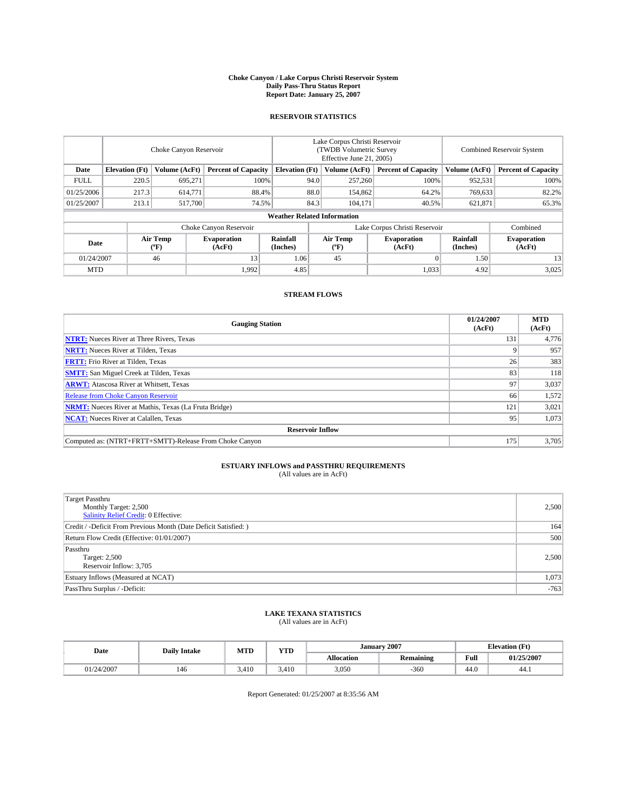#### **Choke Canyon / Lake Corpus Christi Reservoir System Daily Pass-Thru Status Report Report Date: January 25, 2007**

## **RESERVOIR STATISTICS**

|             | Choke Canyon Reservoir             |                  |                              |                       | Lake Corpus Christi Reservoir<br>(TWDB Volumetric Survey<br>Effective June 21, 2005) |                                           |                               | Combined Reservoir System |                              |  |  |  |
|-------------|------------------------------------|------------------|------------------------------|-----------------------|--------------------------------------------------------------------------------------|-------------------------------------------|-------------------------------|---------------------------|------------------------------|--|--|--|
| Date        | <b>Elevation</b> (Ft)              | Volume (AcFt)    | <b>Percent of Capacity</b>   | <b>Elevation</b> (Ft) |                                                                                      | Volume (AcFt)                             | <b>Percent of Capacity</b>    | Volume (AcFt)             | <b>Percent of Capacity</b>   |  |  |  |
| <b>FULL</b> | 220.5                              | 695.271          | 100%                         |                       | 94.0                                                                                 | 257,260                                   | 100%                          | 952,531                   | 100%                         |  |  |  |
| 01/25/2006  | 217.3                              | 614,771          | 88.4%                        |                       | 88.0                                                                                 | 154,862                                   | 64.2%                         | 769,633                   | 82.2%                        |  |  |  |
| 01/25/2007  | 213.1                              | 517,700          | 74.5%                        |                       | 84.3                                                                                 | 104,171                                   | 40.5%                         | 621,871                   | 65.3%                        |  |  |  |
|             | <b>Weather Related Information</b> |                  |                              |                       |                                                                                      |                                           |                               |                           |                              |  |  |  |
|             |                                    |                  | Choke Canyon Reservoir       |                       |                                                                                      |                                           | Lake Corpus Christi Reservoir |                           | Combined                     |  |  |  |
| Date        |                                    | Air Temp<br>(°F) | <b>Evaporation</b><br>(AcFt) | Rainfall<br>(Inches)  |                                                                                      | Air Temp<br>$({}^{\mathrm{o}}\mathrm{F})$ | <b>Evaporation</b><br>(AcFt)  | Rainfall<br>(Inches)      | <b>Evaporation</b><br>(AcFt) |  |  |  |
| 01/24/2007  |                                    | 46               | 13                           | 1.06                  |                                                                                      | 45                                        |                               | 1.50                      | 13                           |  |  |  |
| <b>MTD</b>  |                                    |                  | 1,992                        | 4.85                  |                                                                                      |                                           | 1,033                         | 4.92                      | 3,025                        |  |  |  |

## **STREAM FLOWS**

| <b>Gauging Station</b>                                       | 01/24/2007<br>(AcFt) | <b>MTD</b><br>(AcFt) |
|--------------------------------------------------------------|----------------------|----------------------|
| <b>NTRT:</b> Nueces River at Three Rivers, Texas             | 131                  | 4,776                |
| <b>NRTT:</b> Nueces River at Tilden, Texas                   |                      | 957                  |
| <b>FRTT:</b> Frio River at Tilden, Texas                     | 26                   | 383                  |
| <b>SMTT:</b> San Miguel Creek at Tilden, Texas               | 83                   | 118                  |
| <b>ARWT:</b> Atascosa River at Whitsett, Texas               | 97                   | 3,037                |
| <b>Release from Choke Canyon Reservoir</b>                   | 66                   | 1,572                |
| <b>NRMT:</b> Nueces River at Mathis, Texas (La Fruta Bridge) | 121                  | 3,021                |
| <b>NCAT:</b> Nueces River at Calallen, Texas                 | 95                   | 1,073                |
| <b>Reservoir Inflow</b>                                      |                      |                      |
| Computed as: (NTRT+FRTT+SMTT)-Release From Choke Canyon      | 175                  | 3,705                |

## **ESTUARY INFLOWS and PASSTHRU REQUIREMENTS**<br>(All values are in AcFt)

| <b>Target Passthru</b><br>Monthly Target: 2,500<br>Salinity Relief Credit: 0 Effective: | 2,500  |
|-----------------------------------------------------------------------------------------|--------|
| Credit / -Deficit From Previous Month (Date Deficit Satisfied: )                        | 164    |
| Return Flow Credit (Effective: 01/01/2007)                                              | 500    |
| Passthru<br>Target: 2,500<br>Reservoir Inflow: 3,705                                    | 2.500  |
| Estuary Inflows (Measured at NCAT)                                                      | 1,073  |
| PassThru Surplus / -Deficit:                                                            | $-763$ |

# **LAKE TEXANA STATISTICS** (All values are in AcFt)

|  | Date       | <b>Daily Intake</b> | <b>MTD</b> | <b>YTD</b> |            | <b>January 2007</b> |                                         | <b>Elevation</b> (Ft) |
|--|------------|---------------------|------------|------------|------------|---------------------|-----------------------------------------|-----------------------|
|  |            |                     |            |            | Allocation | Remaining           | Full<br>the contract of the contract of | 01/25/2007            |
|  | 01/24/2007 | 146                 | 3.410      | 3.410      | 3,050      | -360                | 44.0                                    | 44.1                  |

Report Generated: 01/25/2007 at 8:35:56 AM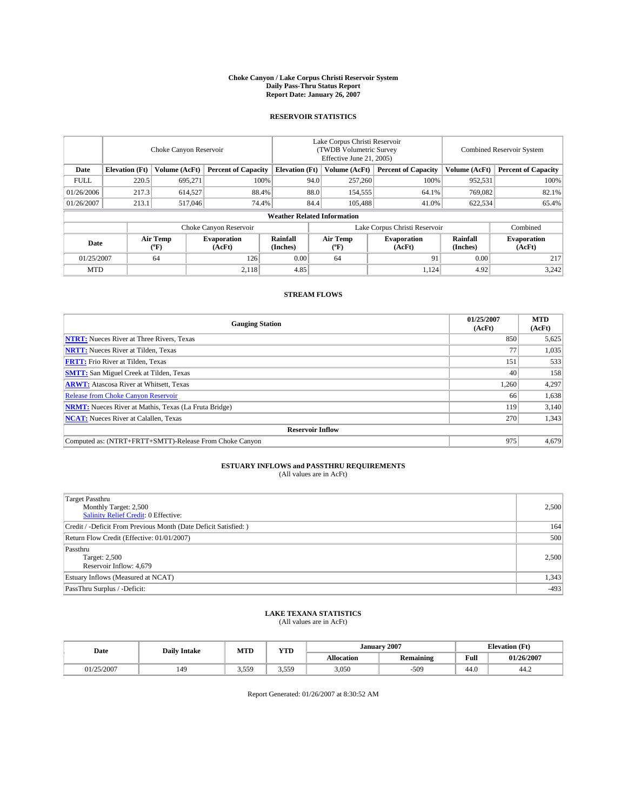#### **Choke Canyon / Lake Corpus Christi Reservoir System Daily Pass-Thru Status Report Report Date: January 26, 2007**

## **RESERVOIR STATISTICS**

|             | Choke Canyon Reservoir             |                  |                              |                       | Lake Corpus Christi Reservoir<br>(TWDB Volumetric Survey<br>Effective June 21, 2005) |                  |                               |                      | <b>Combined Reservoir System</b> |  |  |  |
|-------------|------------------------------------|------------------|------------------------------|-----------------------|--------------------------------------------------------------------------------------|------------------|-------------------------------|----------------------|----------------------------------|--|--|--|
| Date        | <b>Elevation</b> (Ft)              | Volume (AcFt)    | <b>Percent of Capacity</b>   | <b>Elevation</b> (Ft) |                                                                                      | Volume (AcFt)    | <b>Percent of Capacity</b>    | Volume (AcFt)        | <b>Percent of Capacity</b>       |  |  |  |
| <b>FULL</b> | 220.5                              | 695.271          | 100%                         |                       | 94.0                                                                                 | 257,260          | 100%                          | 952,531              | 100%                             |  |  |  |
| 01/26/2006  | 217.3                              | 614,527          | 88.4%                        |                       | 88.0                                                                                 | 154,555          | 64.1%                         | 769,082              | 82.1%                            |  |  |  |
| 01/26/2007  | 213.1                              | 517,046          | 74.4%                        |                       | 84.4                                                                                 | 105,488          | 41.0%                         | 622,534              | 65.4%                            |  |  |  |
|             | <b>Weather Related Information</b> |                  |                              |                       |                                                                                      |                  |                               |                      |                                  |  |  |  |
|             |                                    |                  | Choke Canyon Reservoir       |                       |                                                                                      |                  | Lake Corpus Christi Reservoir |                      | Combined                         |  |  |  |
| Date        |                                    | Air Temp<br>(°F) | <b>Evaporation</b><br>(AcFt) | Rainfall<br>(Inches)  |                                                                                      | Air Temp<br>("F) | <b>Evaporation</b><br>(AcFt)  | Rainfall<br>(Inches) | <b>Evaporation</b><br>(AcFt)     |  |  |  |
| 01/25/2007  |                                    | 64               | 126                          | 0.00                  |                                                                                      | 64               | 91                            | 0.00                 | 217                              |  |  |  |
| <b>MTD</b>  |                                    |                  | 2,118                        | 4.85                  |                                                                                      |                  | 1,124                         | 4.92                 | 3,242                            |  |  |  |

## **STREAM FLOWS**

| <b>Gauging Station</b>                                       | 01/25/2007<br>(AcFt) | <b>MTD</b><br>(AcFt) |
|--------------------------------------------------------------|----------------------|----------------------|
| <b>NTRT:</b> Nueces River at Three Rivers, Texas             | 850                  | 5,625                |
| <b>NRTT:</b> Nueces River at Tilden, Texas                   |                      | 1,035                |
| <b>FRTT:</b> Frio River at Tilden, Texas                     | 151                  | 533                  |
| <b>SMTT:</b> San Miguel Creek at Tilden, Texas               | 40                   | 158                  |
| <b>ARWT:</b> Atascosa River at Whitsett, Texas               | 1,260                | 4,297                |
| <b>Release from Choke Canyon Reservoir</b>                   | 66                   | 1,638                |
| <b>NRMT:</b> Nueces River at Mathis, Texas (La Fruta Bridge) | 119                  | 3.140                |
| <b>NCAT:</b> Nueces River at Calallen, Texas                 | 270                  | 1,343                |
| <b>Reservoir Inflow</b>                                      |                      |                      |
| Computed as: (NTRT+FRTT+SMTT)-Release From Choke Canyon      | 975                  | 4,679                |

## **ESTUARY INFLOWS and PASSTHRU REQUIREMENTS**<br>(All values are in AcFt)

| <b>Target Passthru</b><br>Monthly Target: 2,500<br><b>Salinity Relief Credit: 0 Effective:</b> | 2,500  |
|------------------------------------------------------------------------------------------------|--------|
| Credit / -Deficit From Previous Month (Date Deficit Satisfied: )                               | 164    |
| Return Flow Credit (Effective: 01/01/2007)                                                     | 500    |
| Passthru<br>Target: 2,500<br>Reservoir Inflow: 4,679                                           | 2,500  |
| Estuary Inflows (Measured at NCAT)                                                             | 1,343  |
| PassThru Surplus / -Deficit:                                                                   | $-493$ |

# **LAKE TEXANA STATISTICS** (All values are in AcFt)

|  | Date     | <b>Daily Intake</b> | <b>MTD</b>   | <b>YTD</b> |            | <b>January 2007</b> |                                         | <b>Elevation</b> (Ft) |  |
|--|----------|---------------------|--------------|------------|------------|---------------------|-----------------------------------------|-----------------------|--|
|  |          |                     |              |            | Allocation | Remaining           | Full<br>the contract of the contract of | 01/26/2007            |  |
|  | /25/2007 | 149                 | 550<br>----- | 559        | 3,050      | 509                 | 44.0                                    | 44.2                  |  |

Report Generated: 01/26/2007 at 8:30:52 AM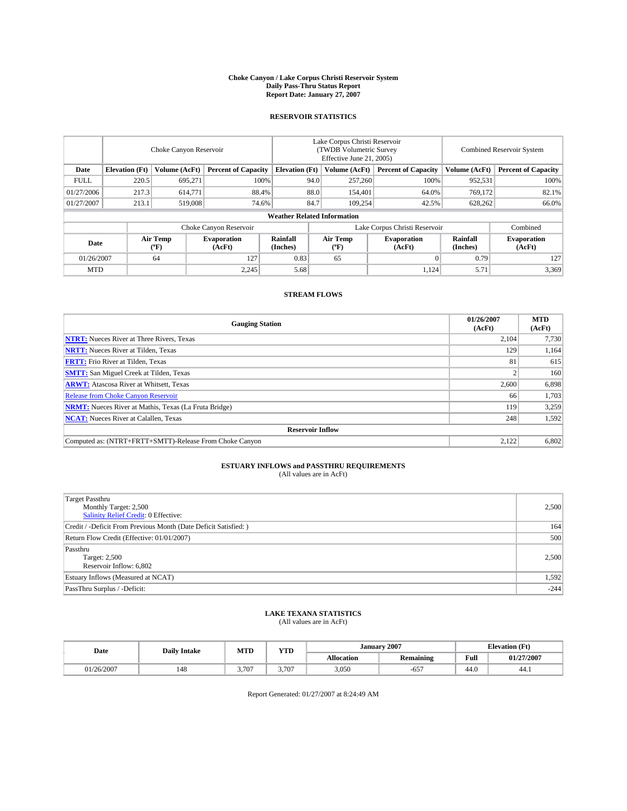#### **Choke Canyon / Lake Corpus Christi Reservoir System Daily Pass-Thru Status Report Report Date: January 27, 2007**

## **RESERVOIR STATISTICS**

|             | Choke Canyon Reservoir             |                  |                              |                       | Lake Corpus Christi Reservoir<br>(TWDB Volumetric Survey<br>Effective June 21, 2005) |                  |                               | <b>Combined Reservoir System</b> |                              |  |  |
|-------------|------------------------------------|------------------|------------------------------|-----------------------|--------------------------------------------------------------------------------------|------------------|-------------------------------|----------------------------------|------------------------------|--|--|
| Date        | <b>Elevation</b> (Ft)              | Volume (AcFt)    | <b>Percent of Capacity</b>   | <b>Elevation</b> (Ft) |                                                                                      | Volume (AcFt)    | <b>Percent of Capacity</b>    | Volume (AcFt)                    | <b>Percent of Capacity</b>   |  |  |
| <b>FULL</b> | 220.5                              | 695.271          | 100%                         |                       | 94.0                                                                                 | 257,260          | 100%                          | 952,531                          | 100%                         |  |  |
| 01/27/2006  | 217.3                              | 614,771          | 88.4%                        |                       | 88.0                                                                                 | 154,401          | 64.0%                         | 769,172                          | 82.1%                        |  |  |
| 01/27/2007  | 213.1                              | 519,008          | 74.6%                        |                       | 84.7                                                                                 | 109,254          | 42.5%                         | 628,262                          | 66.0%                        |  |  |
|             | <b>Weather Related Information</b> |                  |                              |                       |                                                                                      |                  |                               |                                  |                              |  |  |
|             |                                    |                  | Choke Canyon Reservoir       |                       |                                                                                      |                  | Lake Corpus Christi Reservoir |                                  | Combined                     |  |  |
| Date        |                                    | Air Temp<br>(°F) | <b>Evaporation</b><br>(AcFt) | Rainfall<br>(Inches)  |                                                                                      | Air Temp<br>("F) | <b>Evaporation</b><br>(AcFt)  | Rainfall<br>(Inches)             | <b>Evaporation</b><br>(AcFt) |  |  |
| 01/26/2007  |                                    | 64               | 127                          | 0.83                  |                                                                                      | 65               |                               | 0.79                             | 127                          |  |  |
| <b>MTD</b>  |                                    |                  | 2,245                        | 5.68                  |                                                                                      |                  | 1,124                         | 5.71                             | 3,369                        |  |  |

## **STREAM FLOWS**

| <b>Gauging Station</b>                                       | 01/26/2007<br>(AcFt) | <b>MTD</b><br>(AcFt) |
|--------------------------------------------------------------|----------------------|----------------------|
| <b>NTRT:</b> Nueces River at Three Rivers, Texas             | 2,104                | 7,730                |
| <b>NRTT:</b> Nueces River at Tilden, Texas                   | 129                  | 1,164                |
| <b>FRTT:</b> Frio River at Tilden, Texas                     | 81                   | 615                  |
| <b>SMTT:</b> San Miguel Creek at Tilden, Texas               |                      | 160                  |
| <b>ARWT:</b> Atascosa River at Whitsett, Texas               | 2,600                | 6,898                |
| <b>Release from Choke Canyon Reservoir</b>                   | 66                   | 1,703                |
| <b>NRMT:</b> Nueces River at Mathis, Texas (La Fruta Bridge) | 119                  | 3,259                |
| <b>NCAT:</b> Nueces River at Calallen, Texas                 | 248                  | 1,592                |
| <b>Reservoir Inflow</b>                                      |                      |                      |
| Computed as: (NTRT+FRTT+SMTT)-Release From Choke Canyon      | 2,122                | 6,802                |

## **ESTUARY INFLOWS and PASSTHRU REQUIREMENTS**<br>(All values are in AcFt)

| Target Passthru<br>Monthly Target: 2,500<br><b>Salinity Relief Credit: 0 Effective:</b> | 2,500  |
|-----------------------------------------------------------------------------------------|--------|
| Credit / -Deficit From Previous Month (Date Deficit Satisfied: )                        | 164    |
| Return Flow Credit (Effective: 01/01/2007)                                              | 500    |
| Passthru<br>Target: 2,500<br>Reservoir Inflow: 6,802                                    | 2,500  |
| Estuary Inflows (Measured at NCAT)                                                      | 1,592  |
| PassThru Surplus / -Deficit:                                                            | $-244$ |

### **LAKE TEXANA STATISTICS** (All values are in AcFt)

| Date       | <b>Daily Intake</b> | YTD<br>MTD  |       |            | January 2007     | <b>Elevation</b> (Ft)                   |            |
|------------|---------------------|-------------|-------|------------|------------------|-----------------------------------------|------------|
|            |                     |             |       | Allocation | <b>Remaining</b> | Full<br>the contract of the contract of | 01/27/2007 |
| 01/26/2007 | 148                 | 707<br>.707 | 3.707 | 3,050      | $-657$           | 44.0                                    | 44.1       |

Report Generated: 01/27/2007 at 8:24:49 AM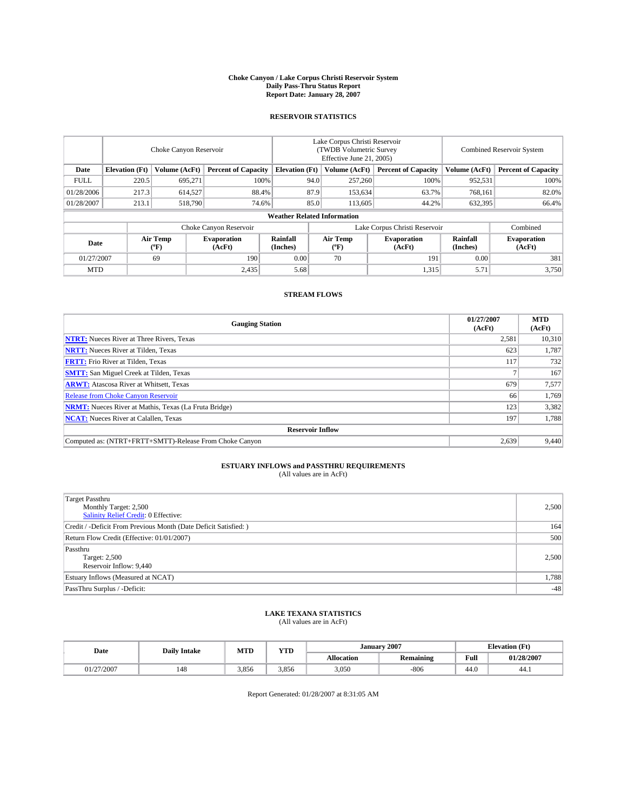#### **Choke Canyon / Lake Corpus Christi Reservoir System Daily Pass-Thru Status Report Report Date: January 28, 2007**

## **RESERVOIR STATISTICS**

|                                                                              | Choke Canyon Reservoir             |                       |                              |                      | Lake Corpus Christi Reservoir<br>(TWDB Volumetric Survey<br>Effective June 21, 2005) |                  |                               |                      | Combined Reservoir System    |  |  |
|------------------------------------------------------------------------------|------------------------------------|-----------------------|------------------------------|----------------------|--------------------------------------------------------------------------------------|------------------|-------------------------------|----------------------|------------------------------|--|--|
| Date<br><b>Elevation</b> (Ft)<br>Volume (AcFt)<br><b>Percent of Capacity</b> |                                    | <b>Elevation</b> (Ft) |                              | Volume (AcFt)        | <b>Percent of Capacity</b>                                                           | Volume (AcFt)    | <b>Percent of Capacity</b>    |                      |                              |  |  |
| <b>FULL</b>                                                                  | 220.5                              | 695,271               |                              | 100%                 | 94.0                                                                                 | 257,260          | 100%                          | 952,531              | 100%                         |  |  |
| 01/28/2006                                                                   | 217.3                              | 614,527               | 88.4%                        |                      | 87.9                                                                                 | 153,634          | 63.7%                         | 768,161              | 82.0%                        |  |  |
| 01/28/2007                                                                   | 213.1                              | 518,790               | 74.6%                        |                      | 85.0                                                                                 | 113,605          | 44.2%                         | 632,395              | 66.4%                        |  |  |
|                                                                              | <b>Weather Related Information</b> |                       |                              |                      |                                                                                      |                  |                               |                      |                              |  |  |
|                                                                              |                                    |                       | Choke Canyon Reservoir       |                      |                                                                                      |                  | Lake Corpus Christi Reservoir |                      | Combined                     |  |  |
| Date                                                                         |                                    | Air Temp<br>(°F)      | <b>Evaporation</b><br>(AcFt) | Rainfall<br>(Inches) |                                                                                      | Air Temp<br>("F) | <b>Evaporation</b><br>(AcFt)  | Rainfall<br>(Inches) | <b>Evaporation</b><br>(AcFt) |  |  |
| 01/27/2007                                                                   |                                    | 69                    | 190                          | 0.00                 |                                                                                      | 70               | 191                           | 0.00                 | 381                          |  |  |
| <b>MTD</b>                                                                   |                                    |                       | 2,435                        | 5.68                 |                                                                                      |                  | 1,315                         | 5.71                 | 3,750                        |  |  |

## **STREAM FLOWS**

| <b>Gauging Station</b>                                       | 01/27/2007<br>(AcFt) | <b>MTD</b><br>(AcFt) |
|--------------------------------------------------------------|----------------------|----------------------|
| <b>NTRT:</b> Nueces River at Three Rivers, Texas             | 2,581                | 10,310               |
| <b>NRTT:</b> Nueces River at Tilden, Texas                   | 623                  | 1,787                |
| <b>FRTT:</b> Frio River at Tilden, Texas                     | 117                  | 732                  |
| <b>SMTT:</b> San Miguel Creek at Tilden, Texas               |                      | 167                  |
| <b>ARWT:</b> Atascosa River at Whitsett, Texas               | 679                  | 7,577                |
| <b>Release from Choke Canyon Reservoir</b>                   | 66                   | 1,769                |
| <b>NRMT:</b> Nueces River at Mathis, Texas (La Fruta Bridge) | 123                  | 3,382                |
| <b>NCAT:</b> Nueces River at Calallen, Texas                 | 197                  | 1,788                |
| <b>Reservoir Inflow</b>                                      |                      |                      |
| Computed as: (NTRT+FRTT+SMTT)-Release From Choke Canyon      | 2,639                | 9,440                |

## **ESTUARY INFLOWS and PASSTHRU REQUIREMENTS**<br>(All values are in AcFt)

| <b>Target Passthru</b><br>Monthly Target: 2,500<br>Salinity Relief Credit: 0 Effective: | 2,500 |
|-----------------------------------------------------------------------------------------|-------|
| Credit / -Deficit From Previous Month (Date Deficit Satisfied: )                        | 164   |
| Return Flow Credit (Effective: 01/01/2007)                                              | 500   |
| Passthru<br>Target: 2,500<br>Reservoir Inflow: 9,440                                    | 2,500 |
| Estuary Inflows (Measured at NCAT)                                                      | 1,788 |
| PassThru Surplus / -Deficit:                                                            | $-48$ |

# **LAKE TEXANA STATISTICS** (All values are in AcFt)

| Date       | <b>Daily Intake</b> | MTD   | YTD   |            | <b>January 2007</b> |                                         | <b>Elevation</b> (Ft) |
|------------|---------------------|-------|-------|------------|---------------------|-----------------------------------------|-----------------------|
|            |                     |       |       | Allocation | <b>Remaining</b>    | Full<br>the contract of the contract of | 01/28/2007            |
| 01/27/2007 | 148                 | 3,856 | 3.856 | 3,050      | $-806$              | 44.0                                    | 44.1                  |

Report Generated: 01/28/2007 at 8:31:05 AM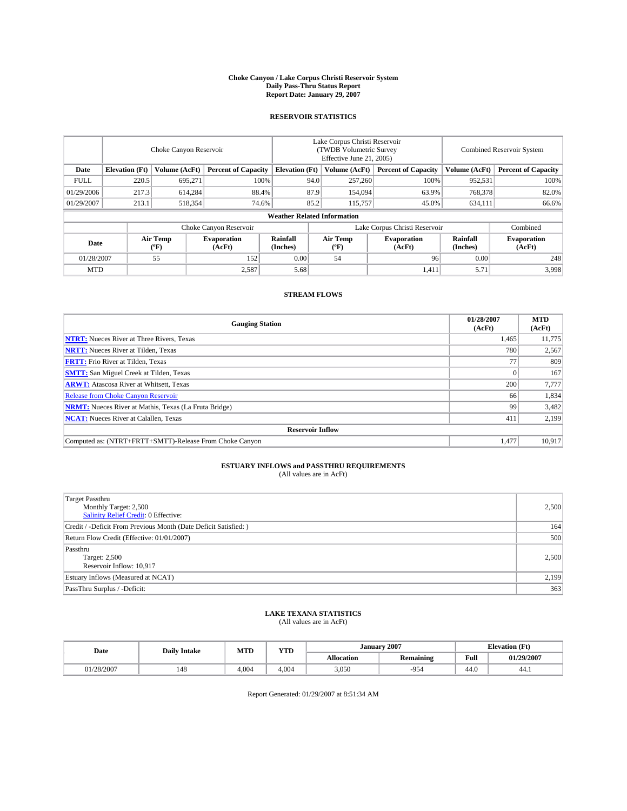#### **Choke Canyon / Lake Corpus Christi Reservoir System Daily Pass-Thru Status Report Report Date: January 29, 2007**

## **RESERVOIR STATISTICS**

|             | Choke Canyon Reservoir                                               |                  |                              |                      | Lake Corpus Christi Reservoir<br>(TWDB Volumetric Survey<br>Effective June 21, 2005) |                                           |                               |                            | Combined Reservoir System    |  |  |  |
|-------------|----------------------------------------------------------------------|------------------|------------------------------|----------------------|--------------------------------------------------------------------------------------|-------------------------------------------|-------------------------------|----------------------------|------------------------------|--|--|--|
| Date        | <b>Elevation</b> (Ft)<br>Volume (AcFt)<br><b>Percent of Capacity</b> |                  | <b>Elevation</b> (Ft)        |                      | Volume (AcFt)                                                                        | <b>Percent of Capacity</b>                | Volume (AcFt)                 | <b>Percent of Capacity</b> |                              |  |  |  |
| <b>FULL</b> | 220.5                                                                | 695.271          | 100%                         |                      | 94.0                                                                                 | 257,260                                   | 100%                          | 952,531                    | 100%                         |  |  |  |
| 01/29/2006  | 217.3                                                                | 614.284          | 88.4%                        |                      | 87.9                                                                                 | 154,094                                   | 63.9%                         | 768,378                    | 82.0%                        |  |  |  |
| 01/29/2007  | 213.1                                                                | 518,354          | 74.6%                        |                      | 85.2                                                                                 | 115,757                                   | 45.0%                         | 634,111                    | 66.6%                        |  |  |  |
|             | <b>Weather Related Information</b>                                   |                  |                              |                      |                                                                                      |                                           |                               |                            |                              |  |  |  |
|             |                                                                      |                  | Choke Canyon Reservoir       |                      |                                                                                      |                                           | Lake Corpus Christi Reservoir |                            | Combined                     |  |  |  |
| Date        |                                                                      | Air Temp<br>(°F) | <b>Evaporation</b><br>(AcFt) | Rainfall<br>(Inches) |                                                                                      | Air Temp<br>$({}^{\mathrm{o}}\mathrm{F})$ | <b>Evaporation</b><br>(AcFt)  | Rainfall<br>(Inches)       | <b>Evaporation</b><br>(AcFt) |  |  |  |
| 01/28/2007  |                                                                      | 55               | 152                          | 0.00                 |                                                                                      | 54                                        | 96                            | 0.00                       | 248                          |  |  |  |
| <b>MTD</b>  |                                                                      |                  | 2,587                        | 5.68                 |                                                                                      |                                           | 1,411                         | 5.71                       | 3,998                        |  |  |  |

## **STREAM FLOWS**

| <b>Gauging Station</b>                                       | 01/28/2007<br>(AcFt) | <b>MTD</b><br>(AcFt) |
|--------------------------------------------------------------|----------------------|----------------------|
| <b>NTRT:</b> Nueces River at Three Rivers, Texas             | 1,465                | 11,775               |
| <b>NRTT:</b> Nueces River at Tilden, Texas                   | 780                  | 2,567                |
| <b>FRTT:</b> Frio River at Tilden, Texas                     | 77                   | 809                  |
| <b>SMTT:</b> San Miguel Creek at Tilden, Texas               |                      | 167                  |
| <b>ARWT:</b> Atascosa River at Whitsett, Texas               | 200                  | 7,777                |
| <b>Release from Choke Canyon Reservoir</b>                   | 66                   | 1,834                |
| <b>NRMT:</b> Nueces River at Mathis, Texas (La Fruta Bridge) | 99                   | 3,482                |
| <b>NCAT:</b> Nueces River at Calallen, Texas                 | 411                  | 2,199                |
| <b>Reservoir Inflow</b>                                      |                      |                      |
| Computed as: (NTRT+FRTT+SMTT)-Release From Choke Canyon      | 1,477                | 10,917               |

## **ESTUARY INFLOWS and PASSTHRU REQUIREMENTS**<br>(All values are in AcFt)

| Target Passthru<br>Monthly Target: 2,500<br>Salinity Relief Credit: 0 Effective: | 2,500 |
|----------------------------------------------------------------------------------|-------|
| Credit / -Deficit From Previous Month (Date Deficit Satisfied: )                 | 164   |
| Return Flow Credit (Effective: 01/01/2007)                                       | 500   |
| Passthru<br>Target: 2,500<br>Reservoir Inflow: 10,917                            | 2.500 |
| Estuary Inflows (Measured at NCAT)                                               | 2,199 |
| PassThru Surplus / -Deficit:                                                     | 363   |

### **LAKE TEXANA STATISTICS** (All values are in AcFt)

|  | Date       | <b>Daily Intake</b> | <b>MTD</b> | <b>YTD</b> | <b>January 2007</b> |           |                                         | <b>Elevation</b> (Ft) |
|--|------------|---------------------|------------|------------|---------------------|-----------|-----------------------------------------|-----------------------|
|  |            |                     |            |            | Allocation          | Remaining | Full<br>the contract of the contract of | 01/29/2007            |
|  | 01/28/2007 | 148                 | 4.004      | 4.004      | 3,050               | $-954$    | 44.0                                    | 44.1                  |

Report Generated: 01/29/2007 at 8:51:34 AM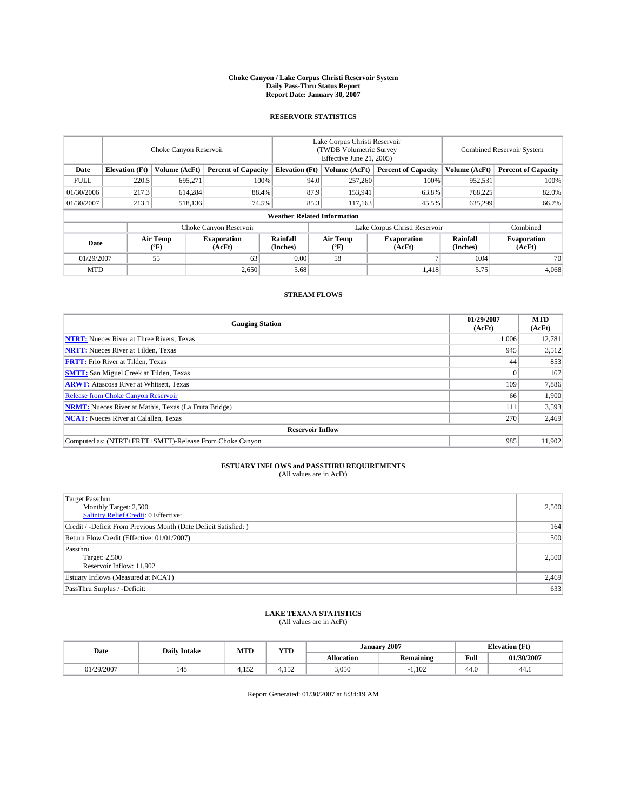#### **Choke Canyon / Lake Corpus Christi Reservoir System Daily Pass-Thru Status Report Report Date: January 30, 2007**

## **RESERVOIR STATISTICS**

|             | Choke Canyon Reservoir             |                                             |                              |                       | Lake Corpus Christi Reservoir<br>(TWDB Volumetric Survey<br>Effective June 21, 2005) |                                           |                               |                      | <b>Combined Reservoir System</b> |  |  |
|-------------|------------------------------------|---------------------------------------------|------------------------------|-----------------------|--------------------------------------------------------------------------------------|-------------------------------------------|-------------------------------|----------------------|----------------------------------|--|--|
| Date        | <b>Elevation</b> (Ft)              | Volume (AcFt)<br><b>Percent of Capacity</b> |                              | <b>Elevation</b> (Ft) |                                                                                      | Volume (AcFt)                             | <b>Percent of Capacity</b>    | Volume (AcFt)        | <b>Percent of Capacity</b>       |  |  |
| <b>FULL</b> | 220.5                              | 695.271                                     |                              | 100%                  | 94.0                                                                                 | 257,260                                   | 100%                          | 952,531              | 100%                             |  |  |
| 01/30/2006  | 217.3                              | 614,284                                     |                              | 87.9<br>88.4%         |                                                                                      | 153,941                                   | 63.8%                         | 768,225              | 82.0%                            |  |  |
| 01/30/2007  | 213.1                              | 518,136                                     | 74.5%                        |                       | 85.3                                                                                 | 117,163                                   | 45.5%                         | 635,299              | 66.7%                            |  |  |
|             | <b>Weather Related Information</b> |                                             |                              |                       |                                                                                      |                                           |                               |                      |                                  |  |  |
|             |                                    |                                             | Choke Canyon Reservoir       |                       |                                                                                      |                                           | Lake Corpus Christi Reservoir |                      | Combined                         |  |  |
| Date        |                                    | Air Temp<br>(°F)                            | <b>Evaporation</b><br>(AcFt) | Rainfall<br>(Inches)  |                                                                                      | Air Temp<br>$({}^{\mathrm{o}}\mathrm{F})$ | <b>Evaporation</b><br>(AcFt)  | Rainfall<br>(Inches) | <b>Evaporation</b><br>(AcFt)     |  |  |
| 01/29/2007  |                                    | 55                                          | 63                           | 0.00                  |                                                                                      | 58                                        |                               | 0.04                 | 70                               |  |  |
| <b>MTD</b>  |                                    |                                             | 2,650                        | 5.68                  |                                                                                      |                                           | 1,418                         | 5.75                 | 4,068                            |  |  |

## **STREAM FLOWS**

| <b>Gauging Station</b>                                       | 01/29/2007<br>(AcFt) | <b>MTD</b><br>(AcFt) |
|--------------------------------------------------------------|----------------------|----------------------|
| <b>NTRT:</b> Nueces River at Three Rivers, Texas             | 1,006                | 12,781               |
| <b>NRTT:</b> Nueces River at Tilden, Texas                   | 945                  | 3,512                |
| <b>FRTT:</b> Frio River at Tilden, Texas                     | 44                   | 853                  |
| <b>SMTT:</b> San Miguel Creek at Tilden, Texas               |                      | 167                  |
| <b>ARWT:</b> Atascosa River at Whitsett, Texas               | 109                  | 7,886                |
| <b>Release from Choke Canyon Reservoir</b>                   | 66                   | 1,900                |
| <b>NRMT:</b> Nueces River at Mathis, Texas (La Fruta Bridge) | 111                  | 3,593                |
| <b>NCAT:</b> Nueces River at Calallen, Texas                 | 270                  | 2,469                |
| <b>Reservoir Inflow</b>                                      |                      |                      |
| Computed as: (NTRT+FRTT+SMTT)-Release From Choke Canyon      | 985                  | 11,902               |

## **ESTUARY INFLOWS and PASSTHRU REQUIREMENTS**<br>(All values are in AcFt)

| Target Passthru<br>Monthly Target: 2,500<br><b>Salinity Relief Credit: 0 Effective:</b> | 2,500 |
|-----------------------------------------------------------------------------------------|-------|
| Credit / -Deficit From Previous Month (Date Deficit Satisfied: )                        | 164   |
| Return Flow Credit (Effective: 01/01/2007)                                              | 500   |
| Passthru<br>Target: 2,500<br>Reservoir Inflow: 11,902                                   | 2,500 |
| Estuary Inflows (Measured at NCAT)                                                      | 2,469 |
| PassThru Surplus / -Deficit:                                                            | 633   |

# **LAKE TEXANA STATISTICS** (All values are in AcFt)

|  | Date     | <b>Daily Intake</b> | <b>MTD</b>    | <b>YTD</b> | <b>January 2007</b> |           |                                         | <b>Elevation</b> (Ft) |
|--|----------|---------------------|---------------|------------|---------------------|-----------|-----------------------------------------|-----------------------|
|  |          |                     |               |            | Allocation          | Remaining | Full<br>the contract of the contract of | 01/30/2007            |
|  | /29/2007 | 148                 | 1.72<br>4.132 | 4.152      | 3,050               | 1.102     | 44.0                                    | 44.1                  |

Report Generated: 01/30/2007 at 8:34:19 AM